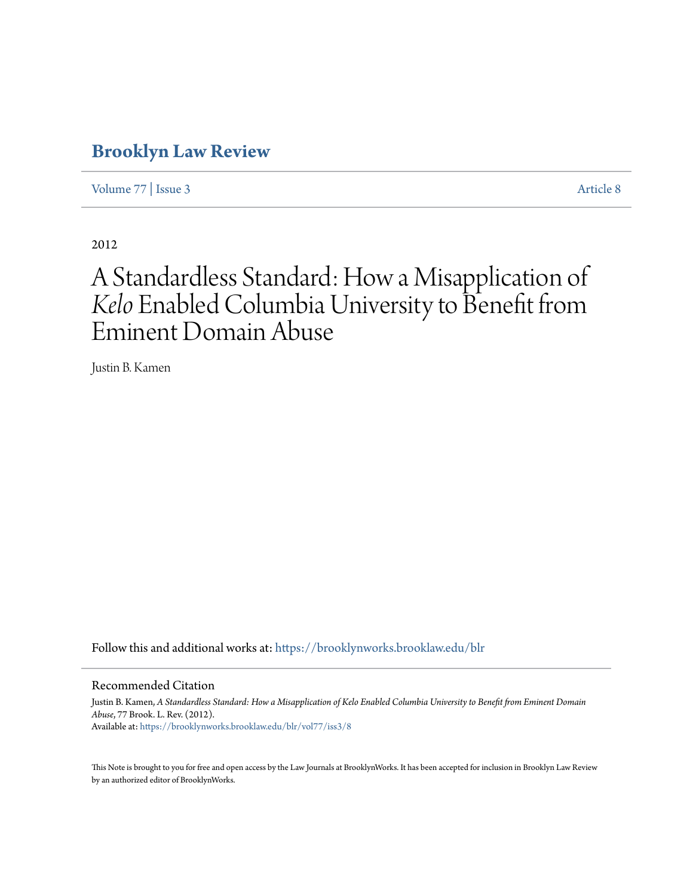# **[Brooklyn Law Review](https://brooklynworks.brooklaw.edu/blr?utm_source=brooklynworks.brooklaw.edu%2Fblr%2Fvol77%2Fiss3%2F8&utm_medium=PDF&utm_campaign=PDFCoverPages)**

[Volume 77](https://brooklynworks.brooklaw.edu/blr/vol77?utm_source=brooklynworks.brooklaw.edu%2Fblr%2Fvol77%2Fiss3%2F8&utm_medium=PDF&utm_campaign=PDFCoverPages) | [Issue 3](https://brooklynworks.brooklaw.edu/blr/vol77/iss3?utm_source=brooklynworks.brooklaw.edu%2Fblr%2Fvol77%2Fiss3%2F8&utm_medium=PDF&utm_campaign=PDFCoverPages) [Article 8](https://brooklynworks.brooklaw.edu/blr/vol77/iss3/8?utm_source=brooklynworks.brooklaw.edu%2Fblr%2Fvol77%2Fiss3%2F8&utm_medium=PDF&utm_campaign=PDFCoverPages)

2012

# A Standardless Standard: How a Misapplication of *Kelo* Enabled Columbia University to Benefit from Eminent Domain Abuse

Justin B. Kamen

Follow this and additional works at: [https://brooklynworks.brooklaw.edu/blr](https://brooklynworks.brooklaw.edu/blr?utm_source=brooklynworks.brooklaw.edu%2Fblr%2Fvol77%2Fiss3%2F8&utm_medium=PDF&utm_campaign=PDFCoverPages)

#### Recommended Citation

Justin B. Kamen, *A Standardless Standard: How a Misapplication of Kelo Enabled Columbia University to Benefit from Eminent Domain Abuse*, 77 Brook. L. Rev. (2012). Available at: [https://brooklynworks.brooklaw.edu/blr/vol77/iss3/8](https://brooklynworks.brooklaw.edu/blr/vol77/iss3/8?utm_source=brooklynworks.brooklaw.edu%2Fblr%2Fvol77%2Fiss3%2F8&utm_medium=PDF&utm_campaign=PDFCoverPages)

This Note is brought to you for free and open access by the Law Journals at BrooklynWorks. It has been accepted for inclusion in Brooklyn Law Review by an authorized editor of BrooklynWorks.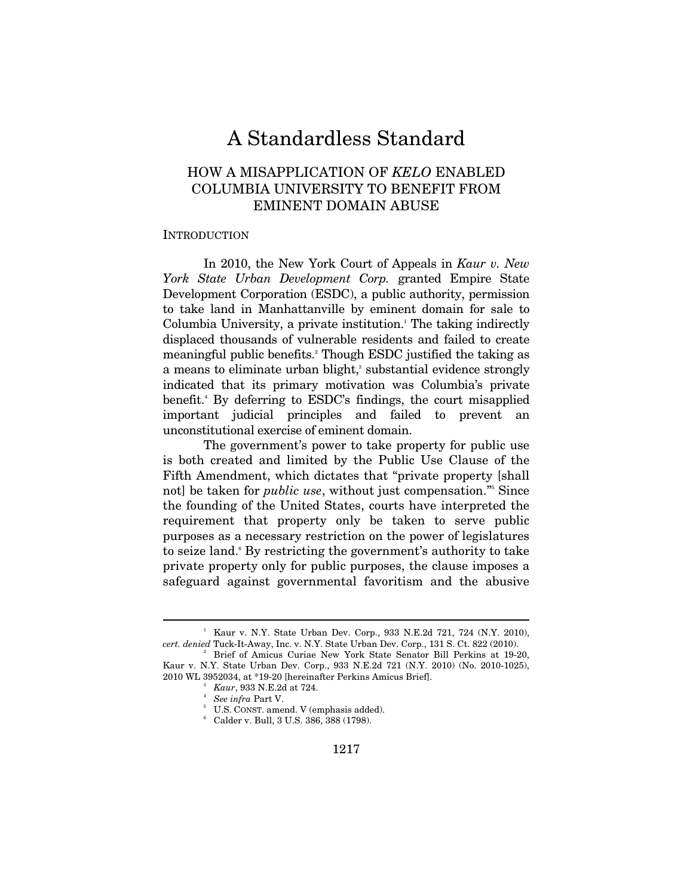# A Standardless Standard

# HOW A MISAPPLICATION OF *KELO* ENABLED COLUMBIA UNIVERSITY TO BENEFIT FROM EMINENT DOMAIN ABUSE

#### **INTRODUCTION**

In 2010, the New York Court of Appeals in *Kaur v. New York State Urban Development Corp.* granted Empire State Development Corporation (ESDC), a public authority, permission to take land in Manhattanville by eminent domain for sale to Columbia University, a private institution.<sup>1</sup> The taking indirectly displaced thousands of vulnerable residents and failed to create meaningful public benefits.<sup>2</sup> Though ESDC justified the taking as a means to eliminate urban blight,<sup>3</sup> substantial evidence strongly indicated that its primary motivation was Columbia's private benefit.4 By deferring to ESDC's findings, the court misapplied important judicial principles and failed to prevent an unconstitutional exercise of eminent domain.

The government's power to take property for public use is both created and limited by the Public Use Clause of the Fifth Amendment, which dictates that "private property [shall not] be taken for *public use*, without just compensation."<sup>5</sup> Since the founding of the United States, courts have interpreted the requirement that property only be taken to serve public purposes as a necessary restriction on the power of legislatures to seize land. By restricting the government's authority to take private property only for public purposes, the clause imposes a safeguard against governmental favoritism and the abusive

<sup>&</sup>lt;sup>1</sup> Kaur v. N.Y. State Urban Dev. Corp., 933 N.E.2d 721, 724 (N.Y. 2010), *cert. denied Tuck-It-Away, Inc. v. N.Y. State Urban Dev. Corp., 131 S. Ct. 822 (2010).* 

Brief of Amicus Curiae New York State Senator Bill Perkins at 19-20, Kaur v. N.Y. State Urban Dev. Corp., 933 N.E.2d 721 (N.Y. 2010) (No. 2010-1025), 2010 WL 3952034, at \*19-20 [hereinafter Perkins Amicus Brief]. 3

*Kaur*, 933 N.E.2d at 724.

<sup>&</sup>lt;sup>4</sup> See infra Part V.<br><sup>5</sup> U.S. CONST amon

 $5$  U.S. CONST. amend. V (emphasis added).

Calder v. Bull, 3 U.S. 386, 388 (1798).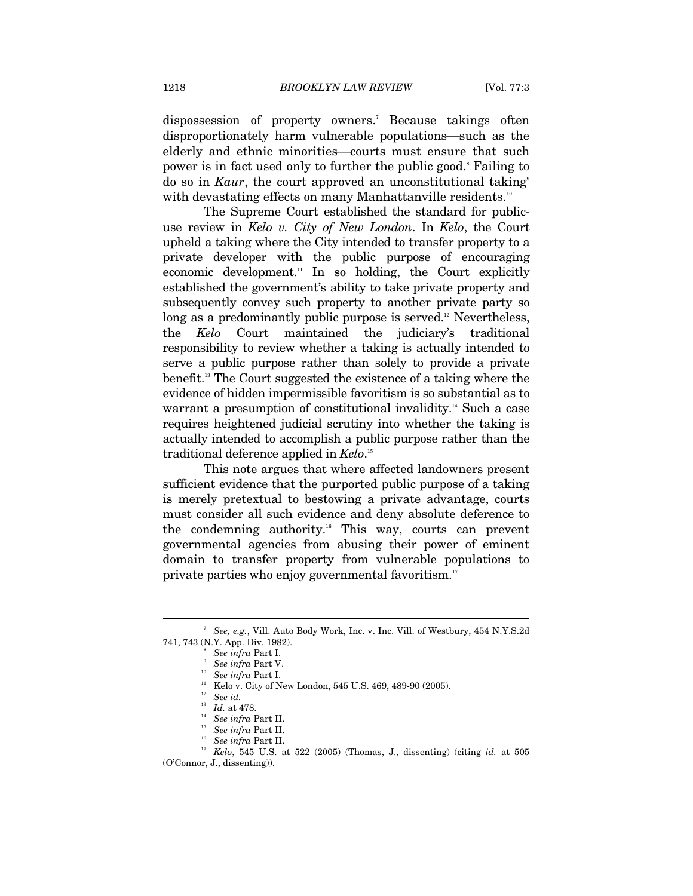dispossession of property owners.<sup>7</sup> Because takings often disproportionately harm vulnerable populations—such as the elderly and ethnic minorities—courts must ensure that such power is in fact used only to further the public good.<sup>8</sup> Failing to do so in *Kaur*, the court approved an unconstitutional taking<sup>9</sup> with devastating effects on many Manhattanville residents.<sup>10</sup>

The Supreme Court established the standard for publicuse review in *Kelo v. City of New London*. In *Kelo*, the Court upheld a taking where the City intended to transfer property to a private developer with the public purpose of encouraging economic development.<sup>11</sup> In so holding, the Court explicitly established the government's ability to take private property and subsequently convey such property to another private party so long as a predominantly public purpose is served.<sup>12</sup> Nevertheless, the *Kelo* Court maintained the judiciary's traditional responsibility to review whether a taking is actually intended to serve a public purpose rather than solely to provide a private benefit.13 The Court suggested the existence of a taking where the evidence of hidden impermissible favoritism is so substantial as to warrant a presumption of constitutional invalidity.<sup>14</sup> Such a case requires heightened judicial scrutiny into whether the taking is actually intended to accomplish a public purpose rather than the traditional deference applied in *Kelo*. 15

This note argues that where affected landowners present sufficient evidence that the purported public purpose of a taking is merely pretextual to bestowing a private advantage, courts must consider all such evidence and deny absolute deference to the condemning authority.<sup>16</sup> This way, courts can prevent governmental agencies from abusing their power of eminent domain to transfer property from vulnerable populations to private parties who enjoy governmental favoritism.<sup>17</sup>

<sup>7</sup>  *See, e.g.*, Vill. Auto Body Work, Inc. v. Inc. Vill. of Westbury, 454 N.Y.S.2d 741, 743 (N.Y. App. Div. 1982). 8

*See infra Part I.*<br>*See infra Part V.* 

*See infra* Part I.<br><sup>11</sup> Kelo v. City of New London, 545 U.S. 469, 489-90 (2005).<br><sup>12</sup> *See id.* 

<sup>&</sup>lt;sup>13</sup> Id. at 478.<br><sup>14</sup> See infra Part II.<br><sup>15</sup> See infra Part II.<br><sup>17</sup> Kelo, 545 U.S. at 522 (2005) (Thomas, J., dissenting) (citing *id.* at 505

<sup>(</sup>O'Connor, J., dissenting)).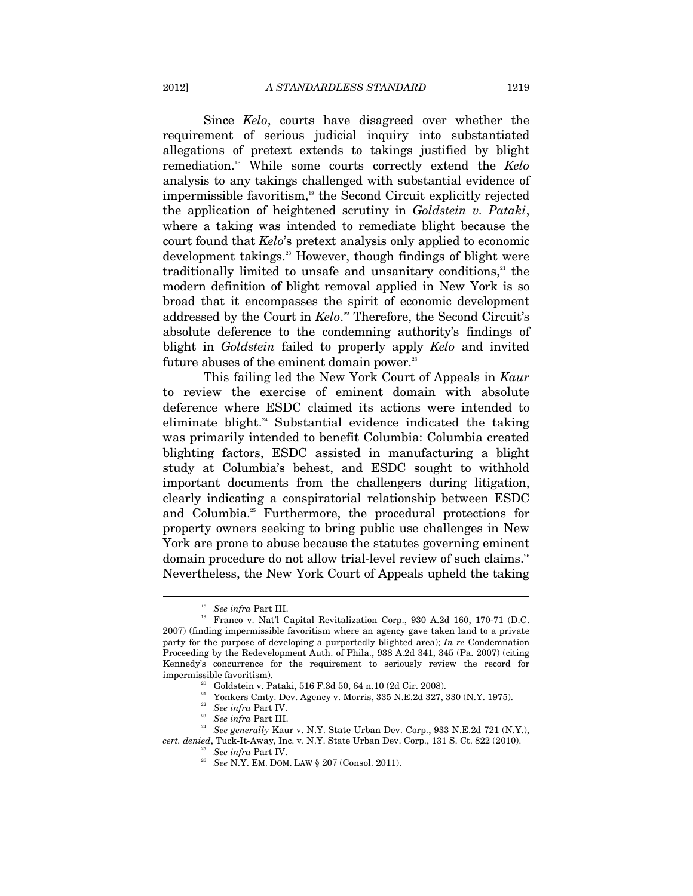Since *Kelo*, courts have disagreed over whether the requirement of serious judicial inquiry into substantiated allegations of pretext extends to takings justified by blight remediation.18 While some courts correctly extend the *Kelo* analysis to any takings challenged with substantial evidence of impermissible favoritism,<sup>19</sup> the Second Circuit explicitly rejected the application of heightened scrutiny in *Goldstein v. Pataki*, where a taking was intended to remediate blight because the court found that *Kelo*'s pretext analysis only applied to economic development takings.<sup>20</sup> However, though findings of blight were traditionally limited to unsafe and unsanitary conditions, $21$  the modern definition of blight removal applied in New York is so broad that it encompasses the spirit of economic development addressed by the Court in *Kelo*. 22 Therefore, the Second Circuit's absolute deference to the condemning authority's findings of blight in *Goldstein* failed to properly apply *Kelo* and invited future abuses of the eminent domain power.<sup>23</sup>

This failing led the New York Court of Appeals in *Kaur* to review the exercise of eminent domain with absolute deference where ESDC claimed its actions were intended to eliminate blight.<sup>24</sup> Substantial evidence indicated the taking was primarily intended to benefit Columbia: Columbia created blighting factors, ESDC assisted in manufacturing a blight study at Columbia's behest, and ESDC sought to withhold important documents from the challengers during litigation, clearly indicating a conspiratorial relationship between ESDC and Columbia.<sup>25</sup> Furthermore, the procedural protections for property owners seeking to bring public use challenges in New York are prone to abuse because the statutes governing eminent domain procedure do not allow trial-level review of such claims.<sup>26</sup> Nevertheless, the New York Court of Appeals upheld the taking

<sup>&</sup>lt;sup>18</sup> See infra Part III.<br><sup>19</sup> Franco v. Nat'l Capital Revitalization Corp., 930 A.2d 160, 170-71 (D.C. 2007) (finding impermissible favoritism where an agency gave taken land to a private party for the purpose of developing a purportedly blighted area); *In re* Condemnation Proceeding by the Redevelopment Auth. of Phila., 938 A.2d 341, 345 (Pa. 2007) (citing Kennedy's concurrence for the requirement to seriously review the record for impermissible favoritism).<br><sup>20</sup> Goldstein v. Pataki, 516 F.3d 50, 64 n.10 (2d Cir. 2008).

<sup>&</sup>lt;sup>21</sup> Yonkers Cmty. Dev. Agency v. Morris, 335 N.E.2d 327, 330 (N.Y. 1975).<br><sup>22</sup> See infra Part IV.

<sup>&</sup>lt;sup>23</sup> See infra Part III.<br><sup>24</sup> See generally Kaur v. N.Y. State Urban Dev. Corp., 933 N.E.2d 721 (N.Y.),

*cert. denied*, Tuck-It-Away, Inc. v. N.Y. State Urban Dev. Corp., 131 S. Ct. 822 (2010). 25 *See infra* Part IV. 26 *See* N.Y. EM. DOM. LAW § 207 (Consol. 2011).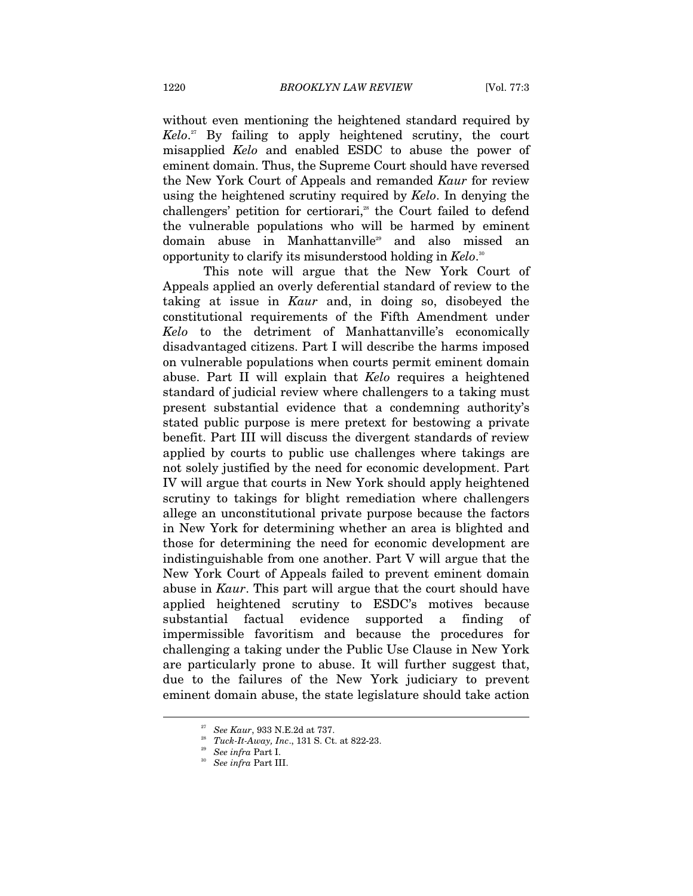without even mentioning the heightened standard required by *Kelo*. 27 By failing to apply heightened scrutiny, the court misapplied *Kelo* and enabled ESDC to abuse the power of eminent domain. Thus, the Supreme Court should have reversed the New York Court of Appeals and remanded *Kaur* for review using the heightened scrutiny required by *Kelo*. In denying the challengers' petition for certiorari,<sup> $28$ </sup> the Court failed to defend the vulnerable populations who will be harmed by eminent domain abuse in Manhattanville<sup>29</sup> and also missed an opportunity to clarify its misunderstood holding in *Kelo*. 30

This note will argue that the New York Court of Appeals applied an overly deferential standard of review to the taking at issue in *Kaur* and, in doing so, disobeyed the constitutional requirements of the Fifth Amendment under *Kelo* to the detriment of Manhattanville's economically disadvantaged citizens. Part I will describe the harms imposed on vulnerable populations when courts permit eminent domain abuse. Part II will explain that *Kelo* requires a heightened standard of judicial review where challengers to a taking must present substantial evidence that a condemning authority's stated public purpose is mere pretext for bestowing a private benefit. Part III will discuss the divergent standards of review applied by courts to public use challenges where takings are not solely justified by the need for economic development. Part IV will argue that courts in New York should apply heightened scrutiny to takings for blight remediation where challengers allege an unconstitutional private purpose because the factors in New York for determining whether an area is blighted and those for determining the need for economic development are indistinguishable from one another. Part V will argue that the New York Court of Appeals failed to prevent eminent domain abuse in *Kaur*. This part will argue that the court should have applied heightened scrutiny to ESDC's motives because substantial factual evidence supported a finding of impermissible favoritism and because the procedures for challenging a taking under the Public Use Clause in New York are particularly prone to abuse. It will further suggest that, due to the failures of the New York judiciary to prevent eminent domain abuse, the state legislature should take action

<sup>27</sup> *See Kaur*, 933 N.E.2d at 737. 28 *Tuck-It-Away, Inc*., 131 S. Ct. at 822-23. 29 *See infra* Part I. 30 *See infra* Part III.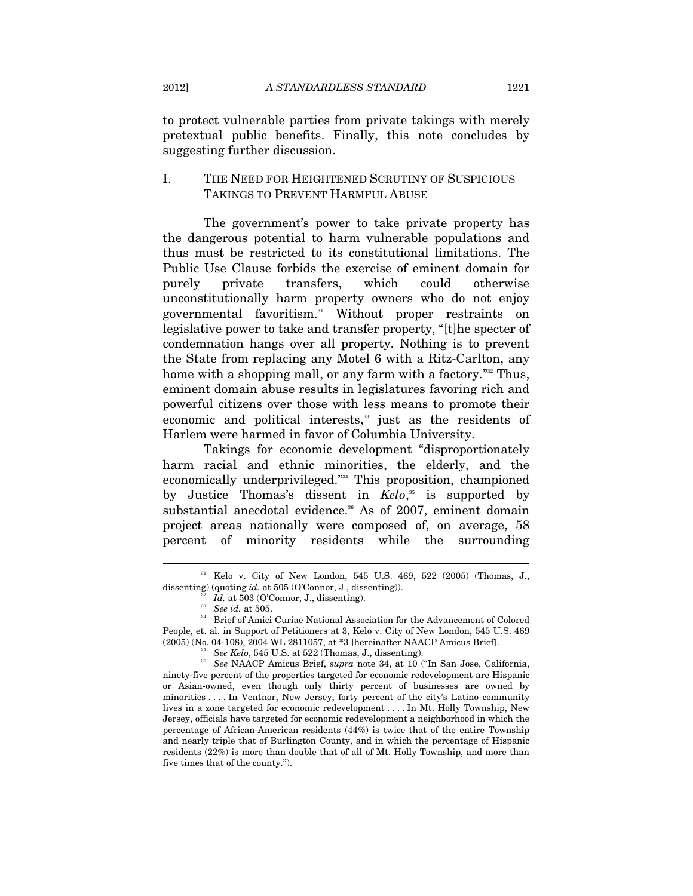to protect vulnerable parties from private takings with merely pretextual public benefits. Finally, this note concludes by suggesting further discussion.

## I. THE NEED FOR HEIGHTENED SCRUTINY OF SUSPICIOUS TAKINGS TO PREVENT HARMFUL ABUSE

The government's power to take private property has the dangerous potential to harm vulnerable populations and thus must be restricted to its constitutional limitations. The Public Use Clause forbids the exercise of eminent domain for purely private transfers, which could otherwise unconstitutionally harm property owners who do not enjoy governmental favoritism.31 Without proper restraints on legislative power to take and transfer property, "[t]he specter of condemnation hangs over all property. Nothing is to prevent the State from replacing any Motel 6 with a Ritz-Carlton, any home with a shopping mall, or any farm with a factory."<sup>32</sup> Thus, eminent domain abuse results in legislatures favoring rich and powerful citizens over those with less means to promote their economic and political interests,<sup>33</sup> just as the residents of Harlem were harmed in favor of Columbia University.

Takings for economic development "disproportionately harm racial and ethnic minorities, the elderly, and the economically underprivileged."34 This proposition, championed by Justice Thomas's dissent in *Kelo*, 35 is supported by substantial anecdotal evidence.<sup>36</sup> As of 2007, eminent domain project areas nationally were composed of, on average, 58 percent of minority residents while the surrounding

<sup>31</sup> Kelo v. City of New London, 545 U.S. 469, 522 (2005) (Thomas, J.,

dissenting) (quoting *id.* at 505 (O'Connor, J., dissenting)).<br><sup>32</sup> *Id.* at 503 (O'Connor, J., dissenting).<br><sup>33</sup> *See id.* at 505. <br><sup>34</sup> Brief of Amici Curiae National Association for the Advancement of Colored People, et. al. in Support of Petitioners at 3, Kelo v. City of New London, 545 U.S. 469  $(2005)$  (No. 04-108), 2004 WL 2811057, at \*3 [hereinafter NAACP Amicus Brief].<br><sup>35</sup> See Kelo, 545 U.S. at 522 (Thomas, J., dissenting).<br><sup>36</sup> See NAACP Amicus Brief, *supra* note 34, at 10 ("In San Jose, California,

ninety-five percent of the properties targeted for economic redevelopment are Hispanic or Asian-owned, even though only thirty percent of businesses are owned by minorities . . . . In Ventnor, New Jersey, forty percent of the city's Latino community lives in a zone targeted for economic redevelopment . . . . In Mt. Holly Township, New Jersey, officials have targeted for economic redevelopment a neighborhood in which the percentage of African-American residents (44%) is twice that of the entire Township and nearly triple that of Burlington County, and in which the percentage of Hispanic residents (22%) is more than double that of all of Mt. Holly Township, and more than five times that of the county.").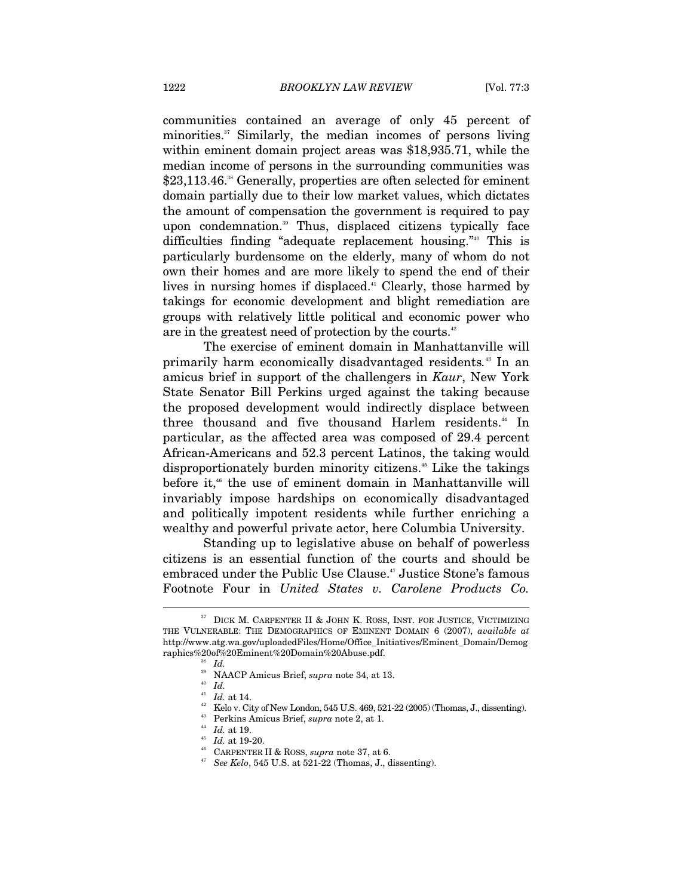communities contained an average of only 45 percent of minorities.<sup>37</sup> Similarly, the median incomes of persons living within eminent domain project areas was \$18,935.71, while the median income of persons in the surrounding communities was \$23,113.46.<sup>38</sup> Generally, properties are often selected for eminent domain partially due to their low market values, which dictates the amount of compensation the government is required to pay upon condemnation.<sup>39</sup> Thus, displaced citizens typically face difficulties finding "adequate replacement housing."40 This is particularly burdensome on the elderly, many of whom do not own their homes and are more likely to spend the end of their lives in nursing homes if displaced.<sup>41</sup> Clearly, those harmed by takings for economic development and blight remediation are groups with relatively little political and economic power who are in the greatest need of protection by the courts.<sup>42</sup>

The exercise of eminent domain in Manhattanville will primarily harm economically disadvantaged residents*.* 43 In an amicus brief in support of the challengers in *Kaur*, New York State Senator Bill Perkins urged against the taking because the proposed development would indirectly displace between three thousand and five thousand Harlem residents.<sup>44</sup> In particular, as the affected area was composed of 29.4 percent African-Americans and 52.3 percent Latinos, the taking would disproportionately burden minority citizens.<sup>45</sup> Like the takings before it,<sup>46</sup> the use of eminent domain in Manhattanville will invariably impose hardships on economically disadvantaged and politically impotent residents while further enriching a wealthy and powerful private actor, here Columbia University.

Standing up to legislative abuse on behalf of powerless citizens is an essential function of the courts and should be embraced under the Public Use Clause.<sup>47</sup> Justice Stone's famous Footnote Four in *United States v. Carolene Products Co.*

 $37$  DICK M. CARPENTER II & JOHN K. ROSS, INST. FOR JUSTICE, VICTIMIZING THE VULNERABLE: THE DEMOGRAPHICS OF EMINENT DOMAIN 6 (2007), *available at* http://www.atg.wa.gov/uploadedFiles/Home/Office\_Initiatives/Eminent\_Domain/Demog raphics%20of%20Eminent%20Domain%20Abuse.pdf. 38 *Id.*

<sup>&</sup>lt;sup>39</sup> NAACP Amicus Brief, *supra* note 34, at 13.<br><sup>40</sup> *Id.*  $H$ <sup>1</sup> *Id.* at 14.

 $^{42}$  Kelo v. City of New London, 545 U.S. 469, 521-22 (2005) (Thomas, J., dissenting). Perkins Amicus Brief, *supra* note 2, at 1.<br>  $^{44}$  Id. at 19.<br>  $^{45}$  Id. at 19-20.<br>  $^{46}$  CARPENTER II & ROSS, *supra* note 37, a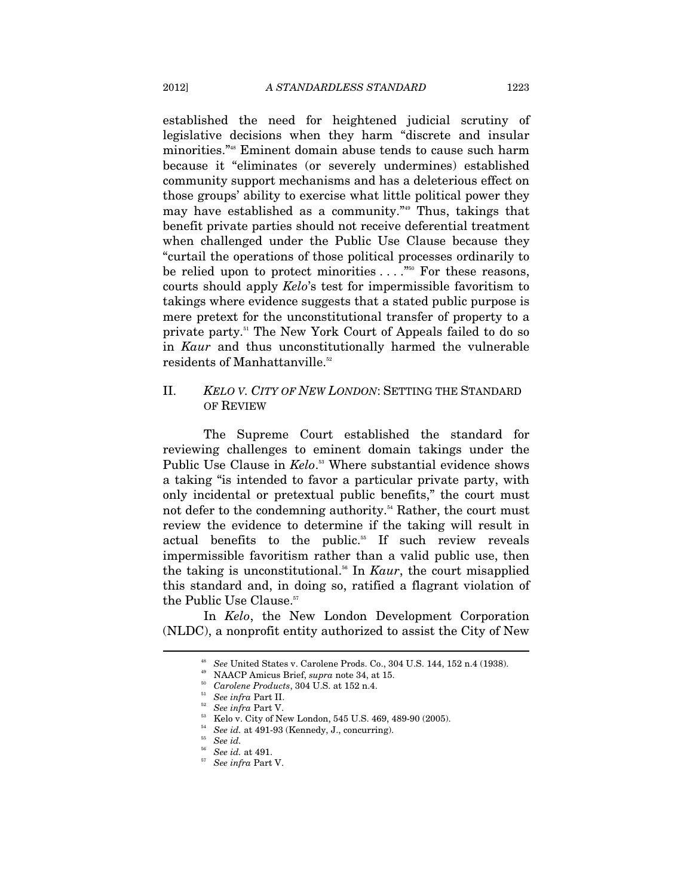established the need for heightened judicial scrutiny of legislative decisions when they harm "discrete and insular minorities."48 Eminent domain abuse tends to cause such harm because it "eliminates (or severely undermines) established community support mechanisms and has a deleterious effect on those groups' ability to exercise what little political power they may have established as a community."49 Thus, takings that benefit private parties should not receive deferential treatment when challenged under the Public Use Clause because they "curtail the operations of those political processes ordinarily to be relied upon to protect minorities  $\dots$ ."<sup>50</sup> For these reasons, courts should apply *Kelo*'s test for impermissible favoritism to takings where evidence suggests that a stated public purpose is mere pretext for the unconstitutional transfer of property to a private party.51 The New York Court of Appeals failed to do so in *Kaur* and thus unconstitutionally harmed the vulnerable residents of Manhattanville.<sup>52</sup>

# II. *KELO V. CITY OF NEW LONDON*: SETTING THE STANDARD OF REVIEW

The Supreme Court established the standard for reviewing challenges to eminent domain takings under the Public Use Clause in *Kelo*.<sup>53</sup> Where substantial evidence shows a taking "is intended to favor a particular private party, with only incidental or pretextual public benefits," the court must not defer to the condemning authority.<sup>54</sup> Rather, the court must review the evidence to determine if the taking will result in actual benefits to the public.<sup>55</sup> If such review reveals impermissible favoritism rather than a valid public use, then the taking is unconstitutional.56 In *Kaur*, the court misapplied this standard and, in doing so, ratified a flagrant violation of the Public Use Clause.<sup>57</sup>

In *Kelo*, the New London Development Corporation (NLDC), a nonprofit entity authorized to assist the City of New

<sup>&</sup>lt;sup>48</sup> See United States v. Carolene Prods. Co., 304 U.S. 144, 152 n.4 (1938).<br><sup>49</sup> NAACP Amicus Brief, *supra* note 34, at 15.<br><sup>50</sup> Carolene Products, 304 U.S. at 152 n.4.<br><sup>51</sup> See infra Part II.<br><sup>52</sup> See infra Part V.<br><sup>53</sup>

<sup>54</sup> *See id.* at 491-93 (Kennedy, J., concurring). 55 *See id.*

 $^{57}$  See infra Part V.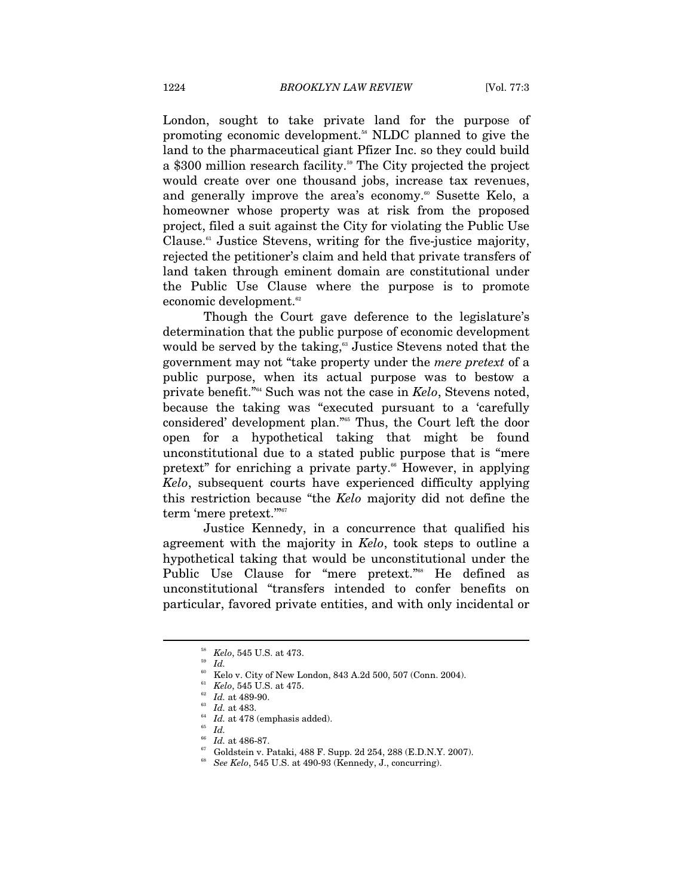London, sought to take private land for the purpose of promoting economic development.58 NLDC planned to give the land to the pharmaceutical giant Pfizer Inc. so they could build a \$300 million research facility.<sup>59</sup> The City projected the project would create over one thousand jobs, increase tax revenues, and generally improve the area's economy.<sup>60</sup> Susette Kelo, a homeowner whose property was at risk from the proposed project, filed a suit against the City for violating the Public Use Clause. $61$  Justice Stevens, writing for the five-justice majority, rejected the petitioner's claim and held that private transfers of land taken through eminent domain are constitutional under the Public Use Clause where the purpose is to promote economic development.<sup>62</sup>

Though the Court gave deference to the legislature's determination that the public purpose of economic development would be served by the taking,<sup>63</sup> Justice Stevens noted that the government may not "take property under the *mere pretext* of a public purpose, when its actual purpose was to bestow a private benefit."64 Such was not the case in *Kelo*, Stevens noted, because the taking was "executed pursuant to a 'carefully considered' development plan."65 Thus, the Court left the door open for a hypothetical taking that might be found unconstitutional due to a stated public purpose that is "mere pretext" for enriching a private party.<sup>66</sup> However, in applying *Kelo*, subsequent courts have experienced difficulty applying this restriction because "the *Kelo* majority did not define the term 'mere pretext.""<sup>67</sup>

Justice Kennedy, in a concurrence that qualified his agreement with the majority in *Kelo*, took steps to outline a hypothetical taking that would be unconstitutional under the Public Use Clause for "mere pretext."<sup>68</sup> He defined as unconstitutional "transfers intended to confer benefits on particular, favored private entities, and with only incidental or

<sup>58</sup> *Kelo*, 545 U.S. at 473. 59 *Id.*

<sup>&</sup>lt;sup>60</sup> Kelo v. City of New London, 843 A.2d 500, 507 (Conn. 2004).

<sup>&</sup>lt;sup>61</sup> *Kelo*, 545 U.S. at 475.<br><sup>62</sup> *Id.* at 489-90.<br><sup>63</sup> *Id.* at 483.<br><sup>64</sup> *Id.* at 478 (emphasis added).<br><sup>65</sup> *Id.* at 486-87.

 $^{67}$  Goldstein v. Pataki, 488 F. Supp. 2d 254, 288 (E.D.N.Y. 2007).

<sup>68</sup> *See Kelo*, 545 U.S. at 490-93 (Kennedy, J., concurring).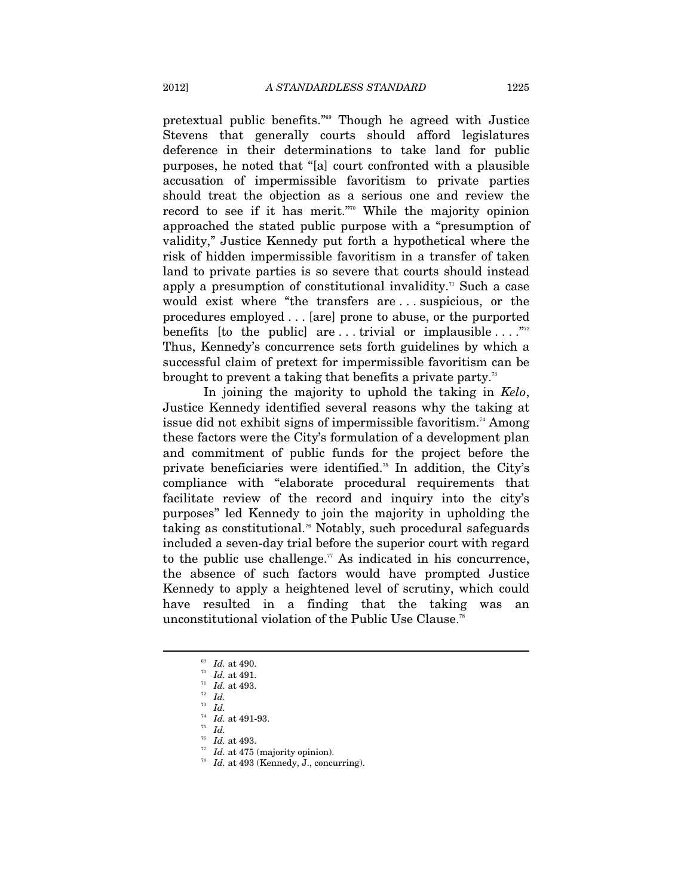pretextual public benefits."69 Though he agreed with Justice Stevens that generally courts should afford legislatures deference in their determinations to take land for public purposes, he noted that "[a] court confronted with a plausible accusation of impermissible favoritism to private parties should treat the objection as a serious one and review the record to see if it has merit."<sup>70</sup> While the majority opinion approached the stated public purpose with a "presumption of validity," Justice Kennedy put forth a hypothetical where the risk of hidden impermissible favoritism in a transfer of taken land to private parties is so severe that courts should instead apply a presumption of constitutional invalidity.<sup> $n$ </sup> Such a case would exist where "the transfers are . . . suspicious, or the procedures employed . . . [are] prone to abuse, or the purported benefits [to the public] are ... trivial or implausible ...."<sup>772</sup> Thus, Kennedy's concurrence sets forth guidelines by which a successful claim of pretext for impermissible favoritism can be brought to prevent a taking that benefits a private party.<sup>73</sup>

In joining the majority to uphold the taking in *Kelo*, Justice Kennedy identified several reasons why the taking at issue did not exhibit signs of impermissible favoritism.<sup>74</sup> Among these factors were the City's formulation of a development plan and commitment of public funds for the project before the private beneficiaries were identified.75 In addition, the City's compliance with "elaborate procedural requirements that facilitate review of the record and inquiry into the city's purposes" led Kennedy to join the majority in upholding the taking as constitutional.<sup>76</sup> Notably, such procedural safeguards included a seven-day trial before the superior court with regard to the public use challenge.<sup> $\pi$ </sup> As indicated in his concurrence, the absence of such factors would have prompted Justice Kennedy to apply a heightened level of scrutiny, which could have resulted in a finding that the taking was an unconstitutional violation of the Public Use Clause.78

 $\overline{a}$ 

<sup>76</sup> *Id.* at 493. 77 *Id.* at 475 (majority opinion). 78 *Id.* at 493 (Kennedy, J., concurring).

<sup>69</sup> *Id.* at 490. 70 *Id.* at 491. 71 *Id.* at 493. 72 *Id.* 

<sup>&</sup>lt;sup>74</sup> *Id.* at 491-93.<br><sup>75</sup> *Id. Id.* at 493.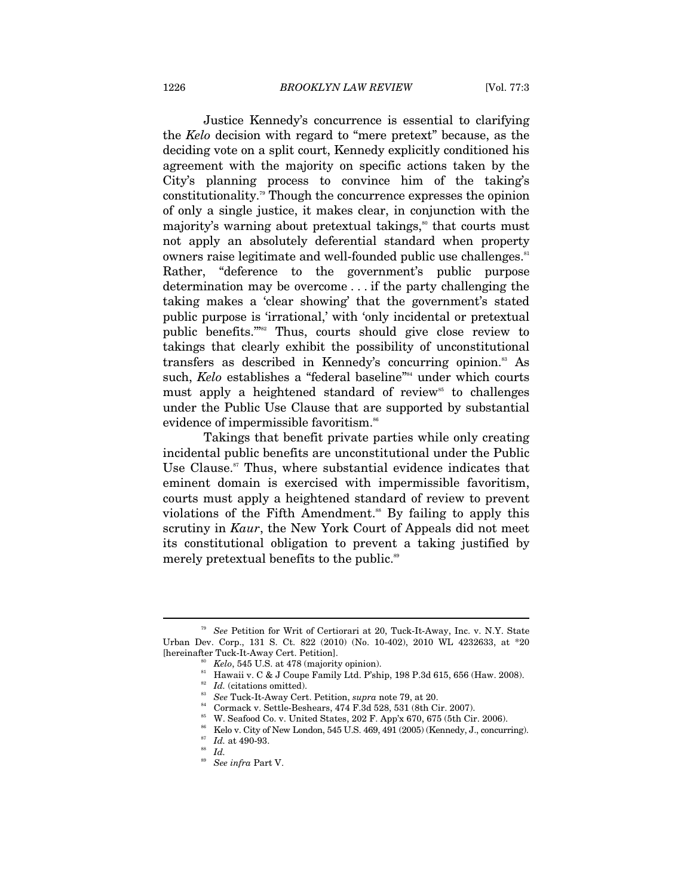Justice Kennedy's concurrence is essential to clarifying the *Kelo* decision with regard to "mere pretext" because, as the deciding vote on a split court, Kennedy explicitly conditioned his agreement with the majority on specific actions taken by the City's planning process to convince him of the taking's constitutionality.79 Though the concurrence expresses the opinion of only a single justice, it makes clear, in conjunction with the majority's warning about pretextual takings,<sup>80</sup> that courts must not apply an absolutely deferential standard when property owners raise legitimate and well-founded public use challenges.<sup>81</sup> Rather, "deference to the government's public purpose determination may be overcome . . . if the party challenging the taking makes a 'clear showing' that the government's stated public purpose is 'irrational,' with 'only incidental or pretextual public benefits.'"82 Thus, courts should give close review to takings that clearly exhibit the possibility of unconstitutional transfers as described in Kennedy's concurring opinion.<sup>83</sup> As such, *Kelo* establishes a "federal baseline"<sup>84</sup> under which courts must apply a heightened standard of review<sup>85</sup> to challenges under the Public Use Clause that are supported by substantial evidence of impermissible favoritism.<sup>86</sup>

Takings that benefit private parties while only creating incidental public benefits are unconstitutional under the Public Use Clause.<sup>87</sup> Thus, where substantial evidence indicates that eminent domain is exercised with impermissible favoritism, courts must apply a heightened standard of review to prevent violations of the Fifth Amendment.<sup>88</sup> By failing to apply this scrutiny in *Kaur*, the New York Court of Appeals did not meet its constitutional obligation to prevent a taking justified by merely pretextual benefits to the public.<sup>89</sup>

<sup>79</sup> *See* Petition for Writ of Certiorari at 20, Tuck-It-Away, Inc. v. N.Y. State Urban Dev. Corp., 131 S. Ct. 822 (2010) (No. 10-402), 2010 WL 4232633, at  $*20$  [hereinafter Tuck-It-Away Cert. Petition].

<sup>&</sup>lt;sup>80</sup> Kelo, 545 U.S. at 478 (majority opinion). <sup>81</sup> Hawaii v. C & J Coupe Family Ltd. P'ship, 198 P.3d 615, 656 (Haw. 2008). <sup>82</sup> *Id.* (citations omitted).

<sup>&</sup>lt;sup>83</sup> *See* Tuck-It-Away Cert. Petition, *supra* note 79, at 20. 84 Cormack v. Settle-Beshears, 474 F.3d 528, 531 (8th Cir. 2007).

<sup>85</sup> W. Seafood Co. v. United States, 202 F. App'x 670, 675 (5th Cir. 2006). 86 Kelo v. City of New London, 545 U.S. 469, 491 (2005) (Kennedy, J., concurring). 87 *Id.* at 490-93. 88 *Id.* 89 *See infra* Part V.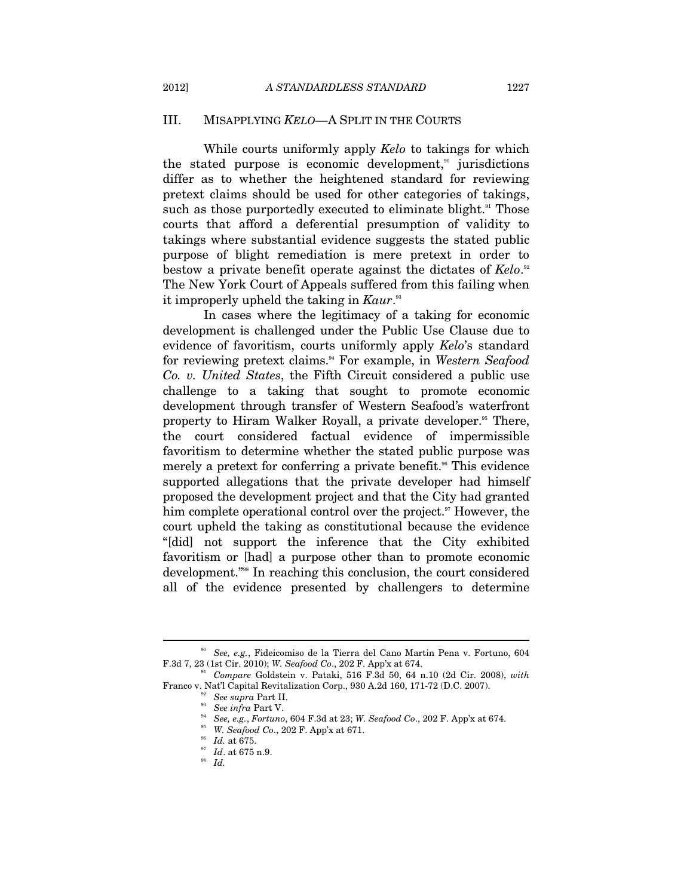#### III. MISAPPLYING *KELO*—A SPLIT IN THE COURTS

While courts uniformly apply *Kelo* to takings for which the stated purpose is economic development,<sup> $\omega$ </sup> jurisdictions differ as to whether the heightened standard for reviewing pretext claims should be used for other categories of takings, such as those purportedly executed to eliminate blight.<sup>91</sup> Those courts that afford a deferential presumption of validity to takings where substantial evidence suggests the stated public purpose of blight remediation is mere pretext in order to bestow a private benefit operate against the dictates of *Kelo*.<sup>92</sup> The New York Court of Appeals suffered from this failing when it improperly upheld the taking in *Kaur*.<sup>33</sup>

In cases where the legitimacy of a taking for economic development is challenged under the Public Use Clause due to evidence of favoritism, courts uniformly apply *Kelo*'s standard for reviewing pretext claims.94 For example, in *Western Seafood Co. v. United States*, the Fifth Circuit considered a public use challenge to a taking that sought to promote economic development through transfer of Western Seafood's waterfront property to Hiram Walker Royall, a private developer.95 There, the court considered factual evidence of impermissible favoritism to determine whether the stated public purpose was merely a pretext for conferring a private benefit.<sup>96</sup> This evidence supported allegations that the private developer had himself proposed the development project and that the City had granted him complete operational control over the project.<sup>97</sup> However, the court upheld the taking as constitutional because the evidence "[did] not support the inference that the City exhibited favoritism or [had] a purpose other than to promote economic development."98 In reaching this conclusion, the court considered all of the evidence presented by challengers to determine

<sup>90</sup> *See, e.g.*, Fideicomiso de la Tierra del Cano Martin Pena v. Fortuno, 604

F.3d 7, 23 (1st Cir. 2010); *W. Seafood Co*., 202 F. App'x at 674. 91 *Compare* Goldstein v. Pataki, 516 F.3d 50, 64 n.10 (2d Cir. 2008), *with* Franco v. Nat'l Capital Revitalization Corp., 930 A.2d 160, 171-72 (D.C. 2007).<br>
<sup>92</sup> See supra Part II.<br>
<sup>93</sup> See infra Part V.<br>
<sup>94</sup> See, e.g., Fortuno, 604 F.3d at 23; W. Seafood Co., 202 F. App'x at 674.<br>
<sup>95</sup> W. Seaf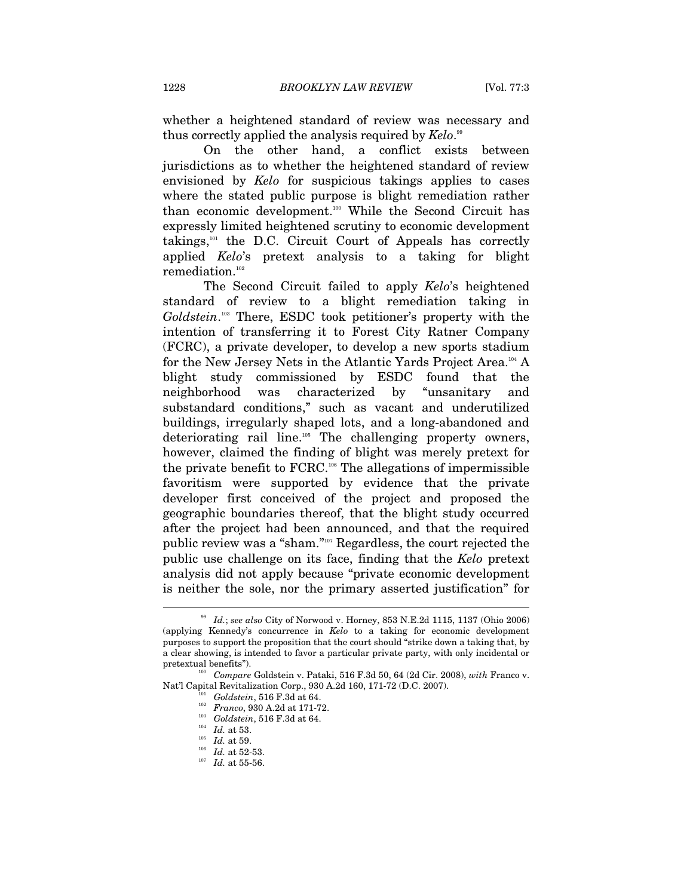whether a heightened standard of review was necessary and thus correctly applied the analysis required by *Kelo*. 99

On the other hand, a conflict exists between jurisdictions as to whether the heightened standard of review envisioned by *Kelo* for suspicious takings applies to cases where the stated public purpose is blight remediation rather than economic development.100 While the Second Circuit has expressly limited heightened scrutiny to economic development takings, $101$  the D.C. Circuit Court of Appeals has correctly applied *Kelo*'s pretext analysis to a taking for blight remediation.102

The Second Circuit failed to apply *Kelo*'s heightened standard of review to a blight remediation taking in *Goldstein*. 103 There, ESDC took petitioner's property with the intention of transferring it to Forest City Ratner Company (FCRC), a private developer, to develop a new sports stadium for the New Jersey Nets in the Atlantic Yards Project Area.104 A blight study commissioned by ESDC found that the neighborhood was characterized by "unsanitary and substandard conditions," such as vacant and underutilized buildings, irregularly shaped lots, and a long-abandoned and deteriorating rail line.105 The challenging property owners, however, claimed the finding of blight was merely pretext for the private benefit to FCRC.106 The allegations of impermissible favoritism were supported by evidence that the private developer first conceived of the project and proposed the geographic boundaries thereof, that the blight study occurred after the project had been announced, and that the required public review was a "sham."107 Regardless, the court rejected the public use challenge on its face, finding that the *Kelo* pretext analysis did not apply because "private economic development is neither the sole, nor the primary asserted justification" for  $\overline{a}$ 

<sup>99</sup> *Id.*; *see also* City of Norwood v. Horney, 853 N.E.2d 1115, 1137 (Ohio 2006) (applying Kennedy's concurrence in *Kelo* to a taking for economic development purposes to support the proposition that the court should "strike down a taking that, by a clear showing, is intended to favor a particular private party, with only incidental or pretextual benefits"). 100 *Compare* Goldstein v. Pataki, 516 F.3d 50, 64 (2d Cir. 2008), *with* Franco v.

Nat'l Capital Revitalization Corp., 930 A.2d 160, 171-72 (D.C. 2007).<br>
<sup>101</sup> Goldstein, 516 F.3d at 64.<br>
<sup>102</sup> Franco, 930 A.2d at 171-72.<br>
<sup>103</sup> Goldstein, 516 F.3d at 64.<br>
<sup>104</sup> Id. at 53.<br>
<sup>105</sup> Id. at 59.<br>
<sup>106</sup> Id. at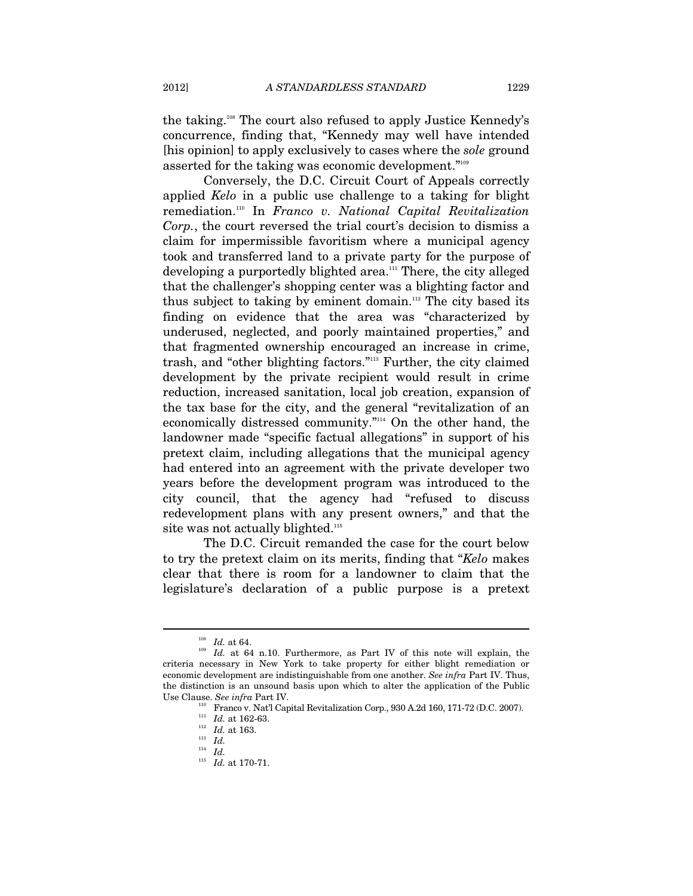the taking.108 The court also refused to apply Justice Kennedy's concurrence, finding that, "Kennedy may well have intended [his opinion] to apply exclusively to cases where the *sole* ground asserted for the taking was economic development."109

Conversely, the D.C. Circuit Court of Appeals correctly applied *Kelo* in a public use challenge to a taking for blight remediation.110 In *Franco v. National Capital Revitalization Corp.*, the court reversed the trial court's decision to dismiss a claim for impermissible favoritism where a municipal agency took and transferred land to a private party for the purpose of developing a purportedly blighted area.111 There, the city alleged that the challenger's shopping center was a blighting factor and thus subject to taking by eminent domain.<sup>112</sup> The city based its finding on evidence that the area was "characterized by underused, neglected, and poorly maintained properties," and that fragmented ownership encouraged an increase in crime, trash, and "other blighting factors."113 Further, the city claimed development by the private recipient would result in crime reduction, increased sanitation, local job creation, expansion of the tax base for the city, and the general "revitalization of an economically distressed community."114 On the other hand, the landowner made "specific factual allegations" in support of his pretext claim, including allegations that the municipal agency had entered into an agreement with the private developer two years before the development program was introduced to the city council, that the agency had "refused to discuss redevelopment plans with any present owners," and that the site was not actually blighted.<sup>115</sup>

The D.C. Circuit remanded the case for the court below to try the pretext claim on its merits, finding that "*Kelo* makes clear that there is room for a landowner to claim that the legislature's declaration of a public purpose is a pretext

<sup>&</sup>lt;sup>108</sup> Id. at 64.<br><sup>109</sup> Id. at 64 n.10. Furthermore, as Part IV of this note will explain, the criteria necessary in New York to take property for either blight remediation or economic development are indistinguishable from one another. *See infra* Part IV. Thus, the distinction is an unsound basis upon which to alter the application of the Public Use Clause. *See infra* Part IV. 110 Franco v. Nat'l Capital Revitalization Corp., 930 A.2d 160, 171-72 (D.C. 2007).<br>
111 *Id.* at 162-63. 112<br>
113 *Id.* at 163.

<sup>114</sup> *Id.*

<sup>115</sup> *Id.* at 170-71.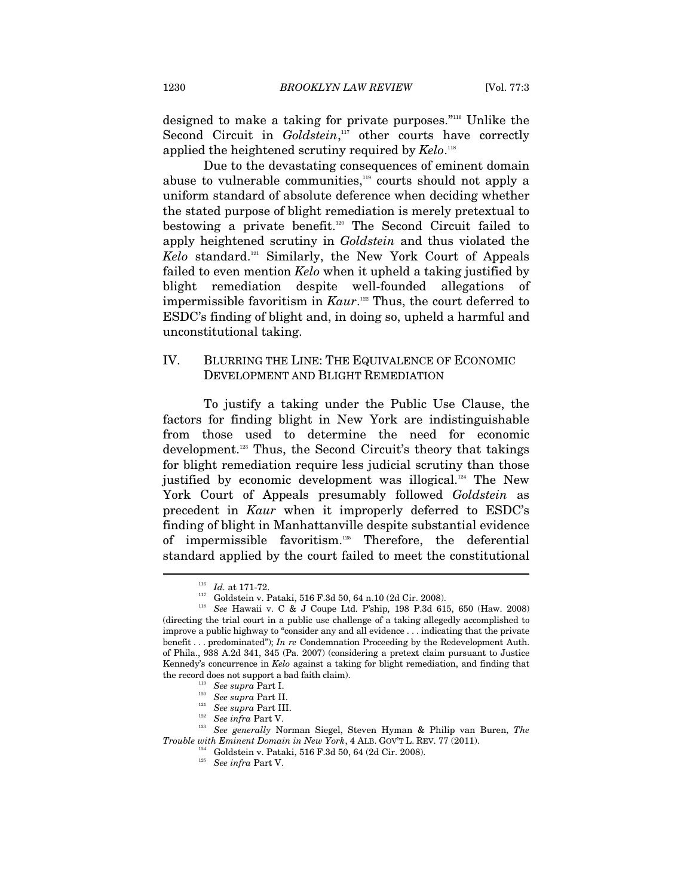designed to make a taking for private purposes."116 Unlike the Second Circuit in *Goldstein*,<sup>117</sup> other courts have correctly applied the heightened scrutiny required by *Kelo*. 118

Due to the devastating consequences of eminent domain abuse to vulnerable communities,<sup>119</sup> courts should not apply a uniform standard of absolute deference when deciding whether the stated purpose of blight remediation is merely pretextual to bestowing a private benefit.<sup>120</sup> The Second Circuit failed to apply heightened scrutiny in *Goldstein* and thus violated the *Kelo* standard.121 Similarly, the New York Court of Appeals failed to even mention *Kelo* when it upheld a taking justified by blight remediation despite well-founded allegations of impermissible favoritism in *Kaur*. 122 Thus, the court deferred to ESDC's finding of blight and, in doing so, upheld a harmful and unconstitutional taking.

# IV. BLURRING THE LINE: THE EQUIVALENCE OF ECONOMIC DEVELOPMENT AND BLIGHT REMEDIATION

To justify a taking under the Public Use Clause, the factors for finding blight in New York are indistinguishable from those used to determine the need for economic development.123 Thus, the Second Circuit's theory that takings for blight remediation require less judicial scrutiny than those justified by economic development was illogical.<sup>124</sup> The New York Court of Appeals presumably followed *Goldstein* as precedent in *Kaur* when it improperly deferred to ESDC's finding of blight in Manhattanville despite substantial evidence of impermissible favoritism.125 Therefore, the deferential standard applied by the court failed to meet the constitutional

<sup>116</sup> *Id.* at 171-72. 117 Goldstein v. Pataki, 516 F.3d 50, 64 n.10 (2d Cir. 2008). 118 *See* Hawaii v. C & J Coupe Ltd. P'ship, 198 P.3d 615, 650 (Haw. 2008) (directing the trial court in a public use challenge of a taking allegedly accomplished to improve a public highway to "consider any and all evidence . . . indicating that the private benefit . . . predominated"); *In re* Condemnation Proceeding by the Redevelopment Auth. of Phila., 938 A.2d 341, 345 (Pa. 2007) (considering a pretext claim pursuant to Justice Kennedy's concurrence in *Kelo* against a taking for blight remediation, and finding that

the record does not support a bad faith claim).<br>
<sup>119</sup> See supra Part I.<br>
<sup>120</sup> See supra Part II.<br>
<sup>121</sup> See supra Part III.<br>
<sup>122</sup> See infra Part V.<br>
<sup>122</sup> See generally Norman Siegel, Steven Hyman & Philip van Buren,

 $^{124}$  Goldstein v. Pataki, 516 F.3d 50, 64 (2d Cir. 2008). See infra Part V.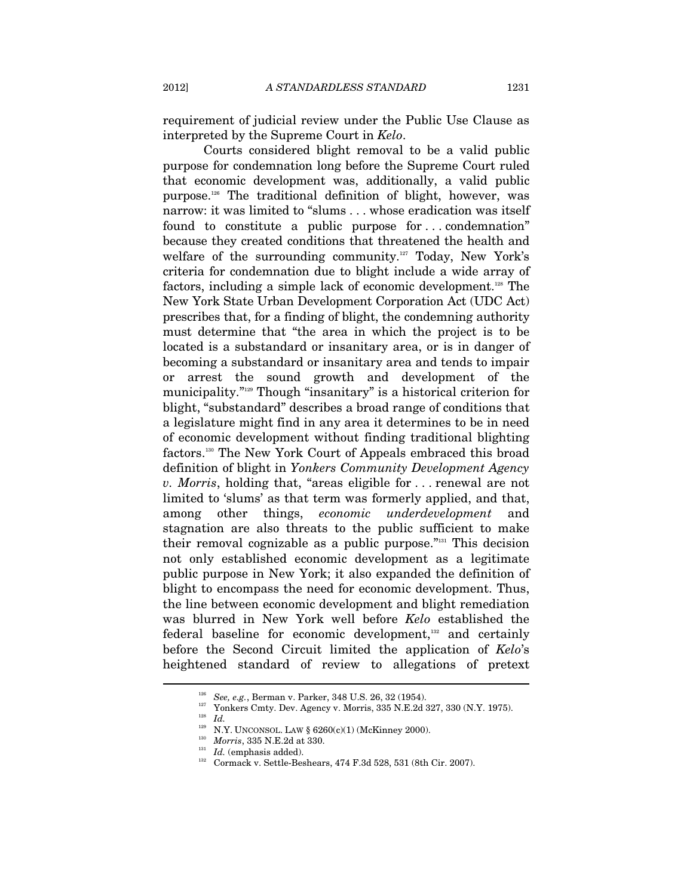requirement of judicial review under the Public Use Clause as interpreted by the Supreme Court in *Kelo*.

Courts considered blight removal to be a valid public purpose for condemnation long before the Supreme Court ruled that economic development was, additionally, a valid public purpose.126 The traditional definition of blight, however, was narrow: it was limited to "slums . . . whose eradication was itself found to constitute a public purpose for . . . condemnation" because they created conditions that threatened the health and welfare of the surrounding community.<sup>127</sup> Today, New York's criteria for condemnation due to blight include a wide array of factors, including a simple lack of economic development.<sup>128</sup> The New York State Urban Development Corporation Act (UDC Act) prescribes that, for a finding of blight, the condemning authority must determine that "the area in which the project is to be located is a substandard or insanitary area, or is in danger of becoming a substandard or insanitary area and tends to impair or arrest the sound growth and development of the municipality."129 Though "insanitary" is a historical criterion for blight, "substandard" describes a broad range of conditions that a legislature might find in any area it determines to be in need of economic development without finding traditional blighting factors.130 The New York Court of Appeals embraced this broad definition of blight in *Yonkers Community Development Agency v. Morris*, holding that, "areas eligible for . . . renewal are not limited to 'slums' as that term was formerly applied, and that, among other things, *economic underdevelopment* stagnation are also threats to the public sufficient to make their removal cognizable as a public purpose."131 This decision not only established economic development as a legitimate public purpose in New York; it also expanded the definition of blight to encompass the need for economic development. Thus, the line between economic development and blight remediation was blurred in New York well before *Kelo* established the federal baseline for economic development,<sup>132</sup> and certainly before the Second Circuit limited the application of *Kelo*'s heightened standard of review to allegations of pretext

<sup>&</sup>lt;sup>126</sup> See, e.g., Berman v. Parker, 348 U.S. 26, 32 (1954).<br><sup>127</sup> Yonkers Cmty. Dev. Agency v. Morris, 335 N.E.2d 327, 330 (N.Y. 1975).<br><sup>128</sup> Id.

<sup>&</sup>lt;sup>129</sup> N.Y. UNCONSOL. LAW § 6260(c)(1) (McKinney 2000).<br><sup>130</sup> *Morris*, 335 N.E.2d at 330.<br><sup>131</sup> *Id.* (emphasis added). 132 Cormack v. Settle-Beshears, 474 F.3d 528, 531 (8th Cir. 2007).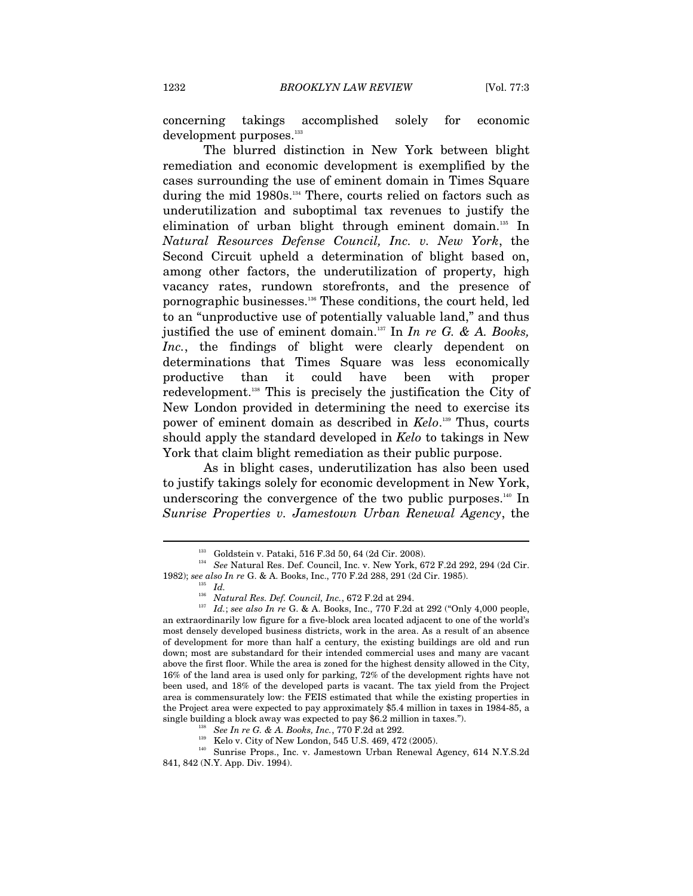concerning takings accomplished solely for economic development purposes.<sup>133</sup>

The blurred distinction in New York between blight remediation and economic development is exemplified by the cases surrounding the use of eminent domain in Times Square during the mid 1980s.134 There, courts relied on factors such as underutilization and suboptimal tax revenues to justify the elimination of urban blight through eminent domain.<sup>135</sup> In *Natural Resources Defense Council, Inc. v. New York*, the Second Circuit upheld a determination of blight based on, among other factors, the underutilization of property, high vacancy rates, rundown storefronts, and the presence of pornographic businesses.136 These conditions, the court held, led to an "unproductive use of potentially valuable land," and thus justified the use of eminent domain.137 In *In re G. & A. Books,*  Inc., the findings of blight were clearly dependent on determinations that Times Square was less economically productive than it could have been with proper redevelopment.138 This is precisely the justification the City of New London provided in determining the need to exercise its power of eminent domain as described in *Kelo*. 139 Thus, courts should apply the standard developed in *Kelo* to takings in New York that claim blight remediation as their public purpose.

As in blight cases, underutilization has also been used to justify takings solely for economic development in New York, underscoring the convergence of the two public purposes.<sup>140</sup> In *Sunrise Properties v. Jamestown Urban Renewal Agency*, the

<sup>133</sup> Goldstein v. Pataki, 516 F.3d 50, 64 (2d Cir. 2008). 134 *See* Natural Res. Def. Council, Inc. v. New York, 672 F.2d 292, 294 (2d Cir. 1982); *see also In re* G. & A. Books, Inc., 770 F.2d 288, 291 (2d Cir. 1985). 135 *Id.* 

<sup>&</sup>lt;sup>137</sup> Id.; see also In re G. & A. Books, Inc., 770 F.2d at 292 ("Only 4,000 people, an extraordinarily low figure for a five-block area located adjacent to one of the world's most densely developed business districts, work in the area. As a result of an absence of development for more than half a century, the existing buildings are old and run down; most are substandard for their intended commercial uses and many are vacant above the first floor. While the area is zoned for the highest density allowed in the City, 16% of the land area is used only for parking, 72% of the development rights have not been used, and 18% of the developed parts is vacant. The tax yield from the Project area is commensurately low: the FEIS estimated that while the existing properties in the Project area were expected to pay approximately \$5.4 million in taxes in 1984-85, a

single building a block away was expected to pay \$6.2 million in taxes.").<br>
<sup>138</sup> See In re G. & A. Books, Inc., 770 F.2d at 292.<br>
<sup>139</sup> Kelo v. City of New London, 545 U.S. 469, 472 (2005).<br>
<sup>140</sup> Sunrise Props., Inc. v. 841, 842 (N.Y. App. Div. 1994).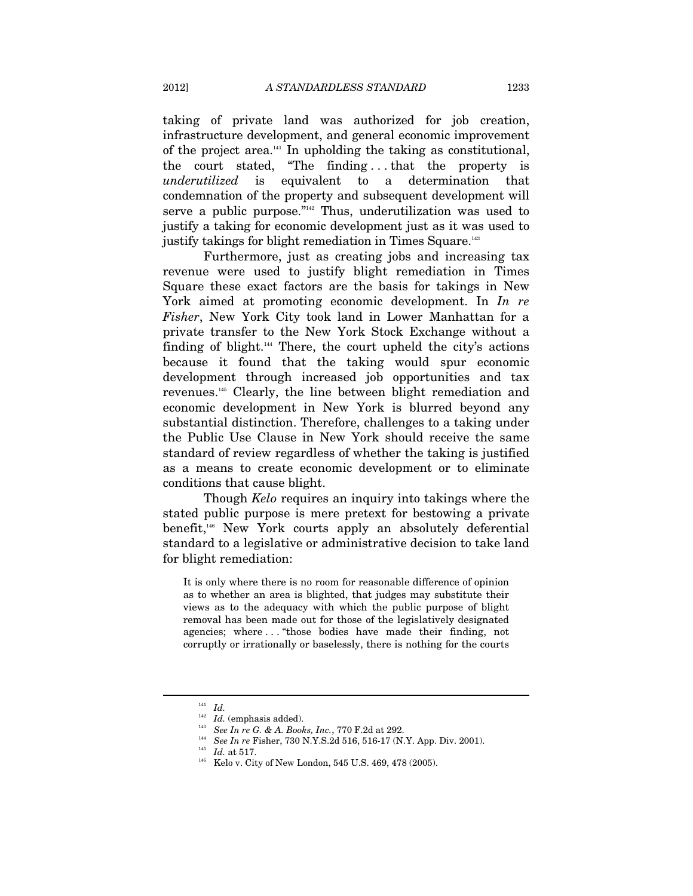taking of private land was authorized for job creation, infrastructure development, and general economic improvement of the project area.141 In upholding the taking as constitutional, the court stated, "The finding . . . that the property is *underutilized* is equivalent to a determination that condemnation of the property and subsequent development will serve a public purpose."142 Thus, underutilization was used to justify a taking for economic development just as it was used to justify takings for blight remediation in Times Square.<sup>143</sup>

Furthermore, just as creating jobs and increasing tax revenue were used to justify blight remediation in Times Square these exact factors are the basis for takings in New York aimed at promoting economic development. In *In re Fisher*, New York City took land in Lower Manhattan for a private transfer to the New York Stock Exchange without a finding of blight. $144}$  There, the court upheld the city's actions because it found that the taking would spur economic development through increased job opportunities and tax revenues.145 Clearly, the line between blight remediation and economic development in New York is blurred beyond any substantial distinction. Therefore, challenges to a taking under the Public Use Clause in New York should receive the same standard of review regardless of whether the taking is justified as a means to create economic development or to eliminate conditions that cause blight.

Though *Kelo* requires an inquiry into takings where the stated public purpose is mere pretext for bestowing a private benefit,<sup>146</sup> New York courts apply an absolutely deferential standard to a legislative or administrative decision to take land for blight remediation:

It is only where there is no room for reasonable difference of opinion as to whether an area is blighted, that judges may substitute their views as to the adequacy with which the public purpose of blight removal has been made out for those of the legislatively designated agencies; where . . . "those bodies have made their finding, not corruptly or irrationally or baselessly, there is nothing for the courts

<sup>&</sup>lt;sup>141</sup> *Id.* (emphasis added).<br><sup>142</sup> *Id.* (emphasis added).<br><sup>143</sup> *See In re G. & A. Books, Inc.*, 770 F.2d at 292.<br><sup>144</sup> *See In re* Fisher, 730 N.Y.S.2d 516, 516-17 (N.Y. App. Div. 2001).<br><sup>145</sup> *Id.* at 517.<br><sup>146</sup> Kelo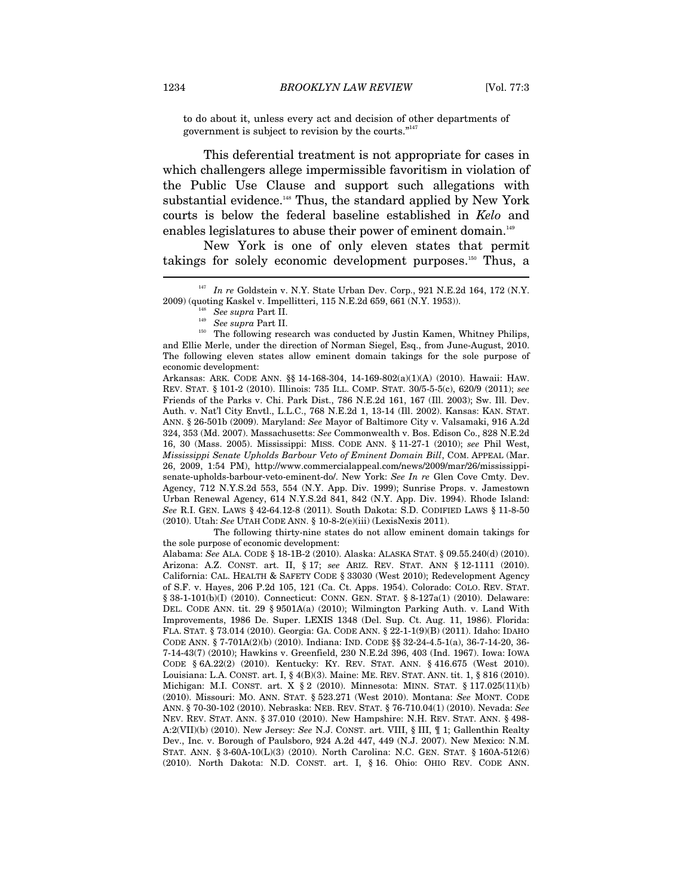to do about it, unless every act and decision of other departments of government is subject to revision by the courts."<sup>147</sup>

This deferential treatment is not appropriate for cases in which challengers allege impermissible favoritism in violation of the Public Use Clause and support such allegations with substantial evidence.<sup>148</sup> Thus, the standard applied by New York courts is below the federal baseline established in *Kelo* and enables legislatures to abuse their power of eminent domain.<sup>149</sup>

New York is one of only eleven states that permit takings for solely economic development purposes.150 Thus, a

Arkansas: ARK. CODE ANN. §§ 14-168-304, 14-169-802(a)(1)(A) (2010). Hawaii: HAW. REV. STAT. § 101-2 (2010). Illinois: 735 ILL. COMP. STAT. 30/5-5-5(c), 620/9 (2011); *see*  Friends of the Parks v. Chi. Park Dist., 786 N.E.2d 161, 167 (Ill. 2003); Sw. Ill. Dev. Auth. v. Nat'l City Envtl., L.L.C., 768 N.E.2d 1, 13-14 (Ill. 2002). Kansas: KAN. STAT. ANN. § 26-501b (2009). Maryland: *See* Mayor of Baltimore City v. Valsamaki, 916 A.2d 324, 353 (Md. 2007). Massachusetts: *See* Commonwealth v. Bos. Edison Co., 828 N.E.2d 16, 30 (Mass. 2005). Mississippi: MISS. CODE ANN. § 11-27-1 (2010); *see* Phil West, *Mississippi Senate Upholds Barbour Veto of Eminent Domain Bill*, COM. APPEAL (Mar. 26, 2009, 1:54 PM), http://www.commercialappeal.com/news/2009/mar/26/mississippisenate-upholds-barbour-veto-eminent-do/. New York: *See In re* Glen Cove Cmty. Dev. Agency, 712 N.Y.S.2d 553, 554 (N.Y. App. Div. 1999); Sunrise Props. v. Jamestown Urban Renewal Agency, 614 N.Y.S.2d 841, 842 (N.Y. App. Div. 1994). Rhode Island: *See* R.I. GEN. LAWS § 42-64.12-8 (2011). South Dakota: S.D. CODIFIED LAWS § 11-8-50 (2010). Utah: *See* UTAH CODE ANN. § 10-8-2(e)(iii) (LexisNexis 2011).

 The following thirty-nine states do not allow eminent domain takings for the sole purpose of economic development:

Alabama: *See* ALA. CODE § 18-1B-2 (2010). Alaska: ALASKA STAT. § 09.55.240(d) (2010). Arizona: A.Z. CONST. art. II, § 17; *see* ARIZ. REV. STAT. ANN § 12-1111 (2010). California: CAL. HEALTH & SAFETY CODE § 33030 (West 2010); Redevelopment Agency of S.F. v. Hayes, 206 P.2d 105, 121 (Ca. Ct. Apps. 1954). Colorado: COLO. REV. STAT. § 38-1-101(b)(I) (2010). Connecticut: CONN. GEN. STAT. § 8-127a(1) (2010). Delaware: DEL. CODE ANN. tit. 29 § 9501A(a) (2010); Wilmington Parking Auth. v. Land With Improvements, 1986 De. Super. LEXIS 1348 (Del. Sup. Ct. Aug. 11, 1986). Florida: FLA. STAT. § 73.014 (2010). Georgia: GA. CODE ANN. § 22-1-1(9)(B) (2011). Idaho: IDAHO CODE ANN. § 7-701A(2)(b) (2010). Indiana: IND. CODE §§ 32-24-4.5-1(a), 36-7-14-20, 36- 7-14-43(7) (2010); Hawkins v. Greenfield, 230 N.E.2d 396, 403 (Ind. 1967). Iowa: IOWA CODE § 6A.22(2) (2010). Kentucky: KY. REV. STAT. ANN. § 416.675 (West 2010). Louisiana: L.A. CONST. art. I, § 4(B)(3). Maine: ME. REV. STAT. ANN. tit. 1, § 816 (2010). Michigan: M.I. CONST. art. X § 2 (2010). Minnesota: MINN. STAT. § 117.025(11)(b) (2010). Missouri: MO. ANN. STAT. § 523.271 (West 2010). Montana: *See* MONT. CODE ANN. § 70-30-102 (2010). Nebraska: NEB. REV. STAT. § 76-710.04(1) (2010). Nevada: *See*  NEV. REV. STAT. ANN. § 37.010 (2010). New Hampshire: N.H. REV. STAT. ANN. § 498- A:2(VII)(b) (2010). New Jersey: *See* N.J. CONST. art. VIII, § III, ¶ 1; Gallenthin Realty Dev., Inc. v. Borough of Paulsboro, 924 A.2d 447, 449 (N.J. 2007). New Mexico: N.M. STAT. ANN. § 3-60A-10(L)(3) (2010). North Carolina: N.C. GEN. STAT. § 160A-512(6) (2010). North Dakota: N.D. CONST. art. I, § 16. Ohio: OHIO REV. CODE ANN.

*In re* Goldstein v. N.Y. State Urban Dev. Corp., 921 N.E.2d 164, 172 (N.Y.

<sup>2009) (</sup>quoting Kaskel v. Impellitteri, 115 N.E.2d 659, 661 (N.Y. 1953)). 148 *See supra* Part II. 149 *See supra* Part II. 150 The following research was conducted by Justin Kamen, Whitney Philips, and Ellie Merle, under the direction of Norman Siegel, Esq., from June-August, 2010. The following eleven states allow eminent domain takings for the sole purpose of economic development: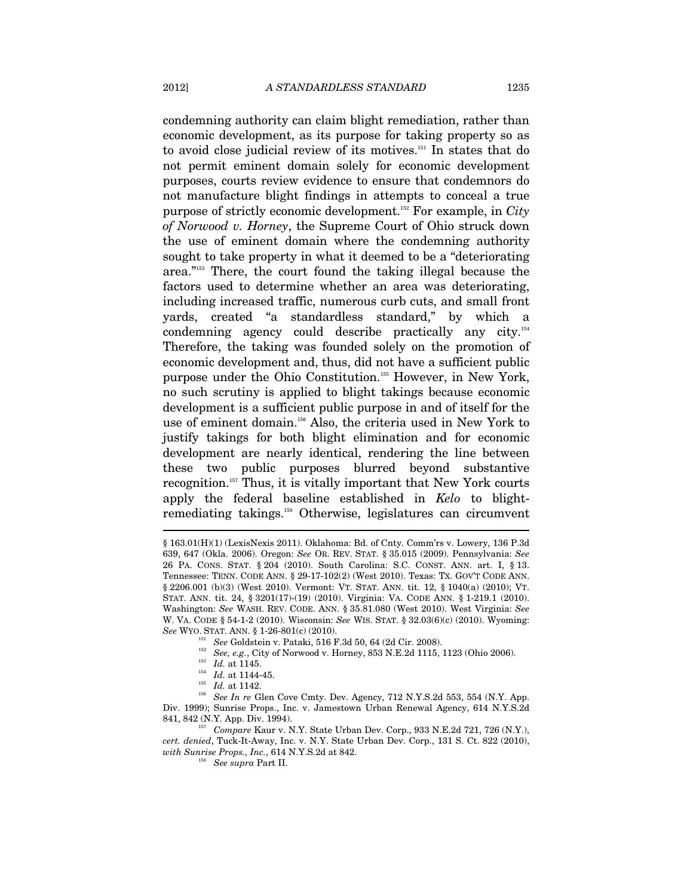condemning authority can claim blight remediation, rather than economic development, as its purpose for taking property so as to avoid close judicial review of its motives.151 In states that do not permit eminent domain solely for economic development purposes, courts review evidence to ensure that condemnors do

not manufacture blight findings in attempts to conceal a true purpose of strictly economic development.152 For example, in *City of Norwood v. Horney*, the Supreme Court of Ohio struck down the use of eminent domain where the condemning authority sought to take property in what it deemed to be a "deteriorating area."153 There, the court found the taking illegal because the factors used to determine whether an area was deteriorating, including increased traffic, numerous curb cuts, and small front yards, created "a standardless standard," by which a condemning agency could describe practically any city.154 Therefore, the taking was founded solely on the promotion of economic development and, thus, did not have a sufficient public purpose under the Ohio Constitution.155 However, in New York, no such scrutiny is applied to blight takings because economic development is a sufficient public purpose in and of itself for the use of eminent domain.<sup>156</sup> Also, the criteria used in New York to justify takings for both blight elimination and for economic development are nearly identical, rendering the line between these two public purposes blurred beyond substantive recognition.157 Thus, it is vitally important that New York courts apply the federal baseline established in *Kelo* to blightremediating takings.158 Otherwise, legislatures can circumvent

<sup>§ 163.01(</sup>H)(1) (LexisNexis 2011). Oklahoma: Bd. of Cnty. Comm'rs v. Lowery, 136 P.3d 639, 647 (Okla. 2006). Oregon: *See* OR. REV. STAT. § 35.015 (2009). Pennsylvania: *See*  26 PA. CONS. STAT. § 204 (2010). South Carolina: S.C. CONST. ANN. art. I, § 13. Tennessee: TENN. CODE ANN. § 29-17-102(2) (West 2010). Texas: TX. GOV'T CODE ANN. § 2206.001 (b)(3) (West 2010). Vermont: VT. STAT. ANN. tit. 12, § 1040(a) (2010); VT. STAT. ANN. tit. 24, § 3201(17)-(19) (2010). Virginia: VA. CODE ANN. § 1-219.1 (2010). Washington: *See* WASH. REV. CODE. ANN. § 35.81.080 (West 2010). West Virginia: *See* W. VA. CODE § 54-1-2 (2010). Wisconsin: *See* WIS. STAT. § 32.03(6)(c) (2010). Wyoming:

See WYO. STAT. ANN. § 1-26-801(c) (2010).<br>
<sup>151</sup> See Goldstein v. Pataki, 516 F.3d 50, 64 (2d Cir. 2008).<br>
<sup>152</sup> See, e.g., City of Norwood v. Horney, 853 N.E.2d 1115, 1123 (Ohio 2006).<br>
<sup>153</sup> Id. at 1144-45.<br>
<sup>154</sup> Id. a Div. 1999); Sunrise Props., Inc. v. Jamestown Urban Renewal Agency, 614 N.Y.S.2d 841, 842 (N.Y. App. Div. 1994). 157 *Compare* Kaur v. N.Y. State Urban Dev. Corp., 933 N.E.2d 721, 726 (N.Y.),

*cert. denied*, Tuck-It-Away, Inc. v. N.Y. State Urban Dev. Corp., 131 S. Ct. 822 (2010), *with Sunrise Props., Inc.*, 614 N.Y.S.2d at 842. 158 *See supra* Part II.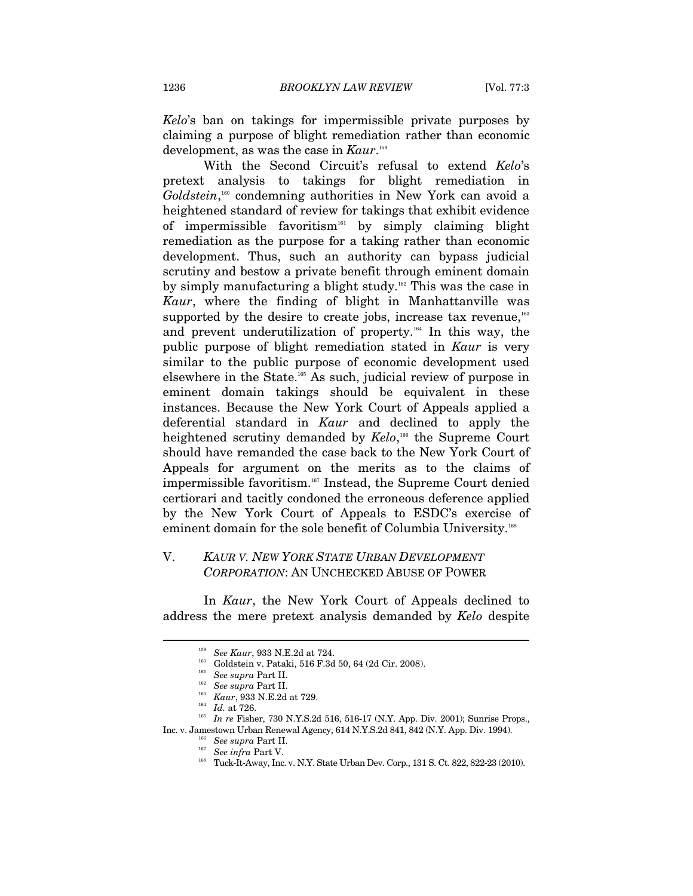*Kelo*'s ban on takings for impermissible private purposes by claiming a purpose of blight remediation rather than economic development, as was the case in *Kaur*. 159

With the Second Circuit's refusal to extend *Kelo*'s pretext analysis to takings for blight remediation in Goldstein,<sup>160</sup> condemning authorities in New York can avoid a heightened standard of review for takings that exhibit evidence of impermissible favoritism161 by simply claiming blight remediation as the purpose for a taking rather than economic development. Thus, such an authority can bypass judicial scrutiny and bestow a private benefit through eminent domain by simply manufacturing a blight study.<sup>162</sup> This was the case in *Kaur*, where the finding of blight in Manhattanville was supported by the desire to create jobs, increase tax revenue,<sup>163</sup> and prevent underutilization of property.164 In this way, the public purpose of blight remediation stated in *Kaur* is very similar to the public purpose of economic development used elsewhere in the State.165 As such, judicial review of purpose in eminent domain takings should be equivalent in these instances. Because the New York Court of Appeals applied a deferential standard in *Kaur* and declined to apply the heightened scrutiny demanded by *Kelo*,<sup>166</sup> the Supreme Court should have remanded the case back to the New York Court of Appeals for argument on the merits as to the claims of impermissible favoritism.167 Instead, the Supreme Court denied certiorari and tacitly condoned the erroneous deference applied by the New York Court of Appeals to ESDC's exercise of eminent domain for the sole benefit of Columbia University.<sup>168</sup>

## V. *KAUR V. NEW YORK STATE URBAN DEVELOPMENT CORPORATION*: AN UNCHECKED ABUSE OF POWER

In *Kaur*, the New York Court of Appeals declined to address the mere pretext analysis demanded by *Kelo* despite

<sup>&</sup>lt;sup>159</sup> See Kaur, 933 N.E.2d at 724.<br>
<sup>160</sup> Goldstein v. Pataki, 516 F.3d 50, 64 (2d Cir. 2008).<br>
<sup>161</sup> See supra Part II.<br>
<sup>162</sup> See supra Part II.<br>
<sup>162</sup> Kaur, 933 N.E.2d at 729.<br>
<sup>164</sup> *Id.* at 726.<br>
<sup>164</sup> *Id.* at 726.<br>

<sup>&</sup>lt;sup>166</sup> See supra Part II.<br><sup>167</sup> See infra Part V.<br><sup>167</sup> See infra Part V.<br>Tuck-It-Away, Inc. v. N.Y. State Urban Dev. Corp., 131 S. Ct. 822, 822-23 (2010).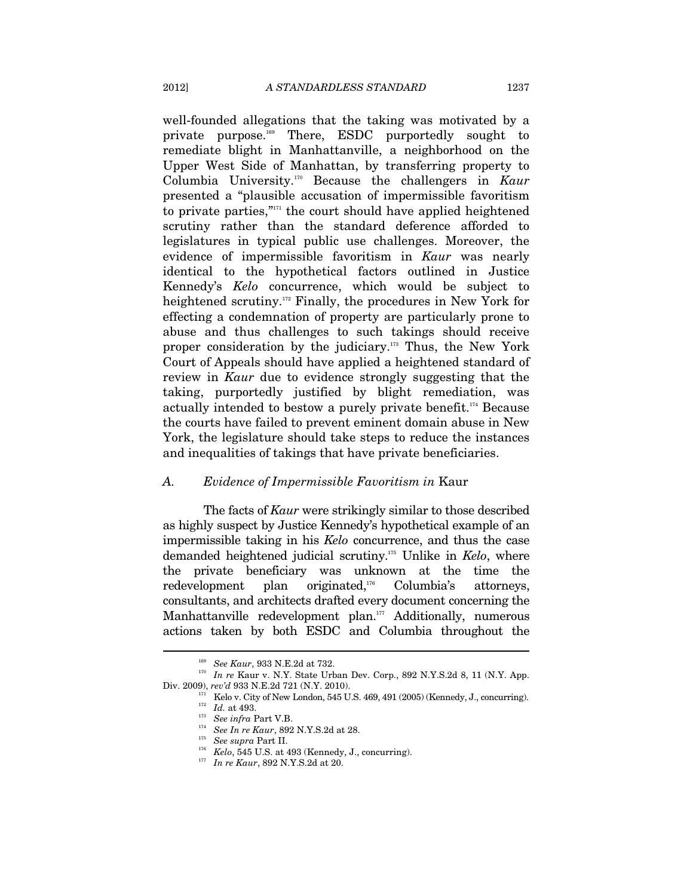well-founded allegations that the taking was motivated by a private purpose.169 There, ESDC purportedly sought to remediate blight in Manhattanville, a neighborhood on the Upper West Side of Manhattan, by transferring property to Columbia University.170 Because the challengers in *Kaur* presented a "plausible accusation of impermissible favoritism to private parties," $n_1$ <sup>the</sup> court should have applied heightened scrutiny rather than the standard deference afforded to legislatures in typical public use challenges. Moreover, the evidence of impermissible favoritism in *Kaur* was nearly identical to the hypothetical factors outlined in Justice Kennedy's *Kelo* concurrence, which would be subject to heightened scrutiny.<sup>172</sup> Finally, the procedures in New York for effecting a condemnation of property are particularly prone to abuse and thus challenges to such takings should receive proper consideration by the judiciary.173 Thus, the New York Court of Appeals should have applied a heightened standard of review in *Kaur* due to evidence strongly suggesting that the taking, purportedly justified by blight remediation, was actually intended to bestow a purely private benefit.174 Because the courts have failed to prevent eminent domain abuse in New York, the legislature should take steps to reduce the instances and inequalities of takings that have private beneficiaries.

#### *A. Evidence of Impermissible Favoritism in* Kaur

The facts of *Kaur* were strikingly similar to those described as highly suspect by Justice Kennedy's hypothetical example of an impermissible taking in his *Kelo* concurrence, and thus the case demanded heightened judicial scrutiny.175 Unlike in *Kelo*, where the private beneficiary was unknown at the time the redevelopment plan originated,176 Columbia's attorneys, consultants, and architects drafted every document concerning the Manhattanville redevelopment plan.<sup>177</sup> Additionally, numerous actions taken by both ESDC and Columbia throughout the

<sup>&</sup>lt;sup>169</sup> See Kaur, 933 N.E.2d at 732.<br><sup>170</sup> In re Kaur v. N.Y. State Urban Dev. Corp., 892 N.Y.S.2d 8, 11 (N.Y. App.

Div. 2009), rev'd 933 N.E.2d 721 (N.Y. 2010).<br>
<sup>171</sup> Kelo v. City of New London, 545 U.S. 469, 491 (2005) (Kennedy, J., concurring).<br>
<sup>172</sup> *Id.* at 493.<br>
<sup>173</sup> See infra Part V.B.<br>
<sup>174</sup> See In re Kaur, 892 N.Y.S.2d at 2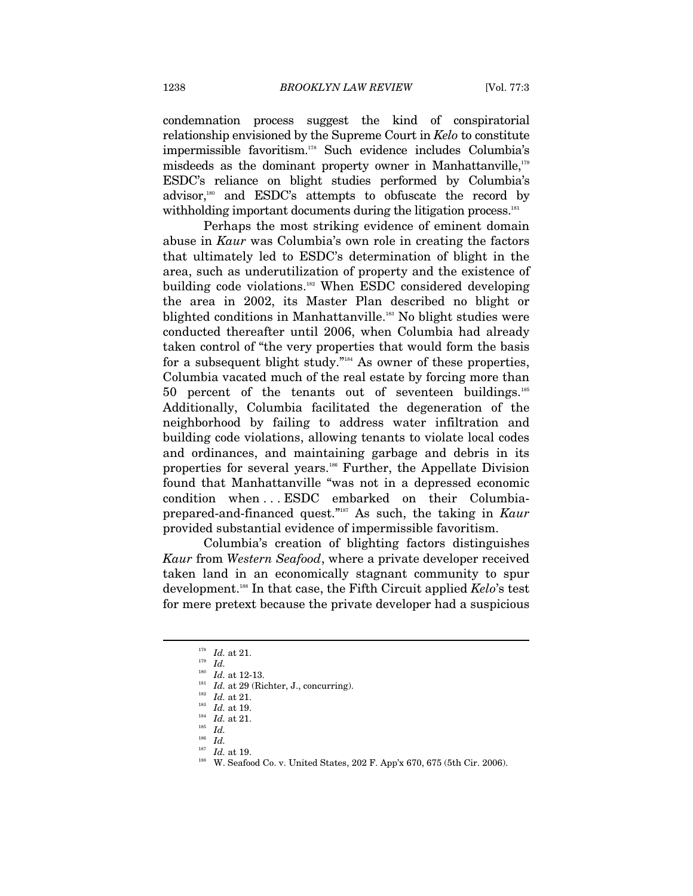condemnation process suggest the kind of conspiratorial relationship envisioned by the Supreme Court in *Kelo* to constitute impermissible favoritism.178 Such evidence includes Columbia's misdeeds as the dominant property owner in Manhattanville,<sup>179</sup> ESDC's reliance on blight studies performed by Columbia's advisor, $180$  and ESDC's attempts to obfuscate the record by withholding important documents during the litigation process.<sup>181</sup>

Perhaps the most striking evidence of eminent domain abuse in *Kaur* was Columbia's own role in creating the factors that ultimately led to ESDC's determination of blight in the area, such as underutilization of property and the existence of building code violations.<sup>182</sup> When ESDC considered developing the area in 2002, its Master Plan described no blight or blighted conditions in Manhattanville.<sup>183</sup> No blight studies were conducted thereafter until 2006, when Columbia had already taken control of "the very properties that would form the basis for a subsequent blight study."184 As owner of these properties, Columbia vacated much of the real estate by forcing more than 50 percent of the tenants out of seventeen buildings. $185$ Additionally, Columbia facilitated the degeneration of the neighborhood by failing to address water infiltration and building code violations, allowing tenants to violate local codes and ordinances, and maintaining garbage and debris in its properties for several years.186 Further, the Appellate Division found that Manhattanville "was not in a depressed economic condition when . . . ESDC embarked on their Columbiaprepared-and-financed quest."187 As such, the taking in *Kaur* provided substantial evidence of impermissible favoritism.

Columbia's creation of blighting factors distinguishes *Kaur* from *Western Seafood*, where a private developer received taken land in an economically stagnant community to spur development.188 In that case, the Fifth Circuit applied *Kelo*'s test for mere pretext because the private developer had a suspicious

<sup>&</sup>lt;sup>178</sup> *Id.* at 21.<br><sup>179</sup> *Id. Id.* at 12-13.

<sup>&</sup>lt;sup>181</sup> *Id.* at 29 (Richter, J., concurring).<br><sup>182</sup> *Id.* at 21.<br><sup>183</sup> *Id.* at 19.<br><sup>185</sup> *Id.* at 21.<br><sup>185</sup> *Id.* 

 $\frac{186}{187}$  *Id.* at 19.

<sup>&</sup>lt;sup>188</sup> W. Seafood Co. v. United States, 202 F. App'x 670, 675 (5th Cir. 2006).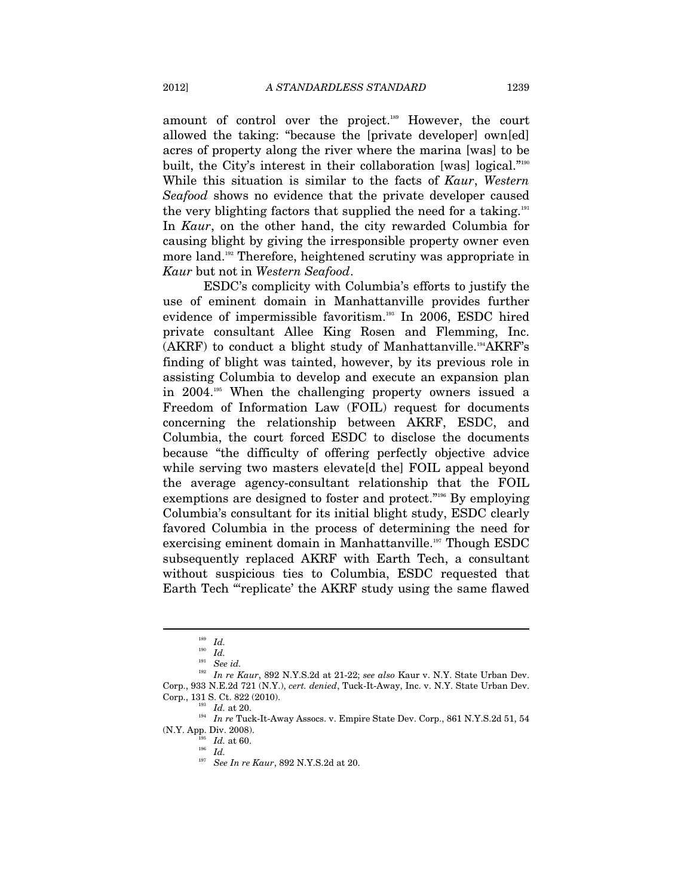amount of control over the project.189 However, the court allowed the taking: "because the [private developer] own[ed] acres of property along the river where the marina [was] to be built, the City's interest in their collaboration [was] logical."<sup>190</sup> While this situation is similar to the facts of *Kaur*, *Western Seafood* shows no evidence that the private developer caused the very blighting factors that supplied the need for a taking.<sup>191</sup> In *Kaur*, on the other hand, the city rewarded Columbia for causing blight by giving the irresponsible property owner even more land.<sup>192</sup> Therefore, heightened scrutiny was appropriate in *Kaur* but not in *Western Seafood*.

ESDC's complicity with Columbia's efforts to justify the use of eminent domain in Manhattanville provides further evidence of impermissible favoritism.<sup>193</sup> In 2006, ESDC hired private consultant Allee King Rosen and Flemming, Inc.  $(AKRF)$  to conduct a blight study of Manhattanville.<sup>194</sup>AKRF's finding of blight was tainted, however, by its previous role in assisting Columbia to develop and execute an expansion plan in 2004.195 When the challenging property owners issued a Freedom of Information Law (FOIL) request for documents concerning the relationship between AKRF, ESDC, and Columbia, the court forced ESDC to disclose the documents because "the difficulty of offering perfectly objective advice while serving two masters elevate d the FOIL appeal beyond the average agency-consultant relationship that the FOIL exemptions are designed to foster and protect."196 By employing Columbia's consultant for its initial blight study, ESDC clearly favored Columbia in the process of determining the need for exercising eminent domain in Manhattanville.<sup>197</sup> Though ESDC subsequently replaced AKRF with Earth Tech, a consultant without suspicious ties to Columbia, ESDC requested that Earth Tech "replicate' the AKRF study using the same flawed

<sup>189</sup> *Id.*

<sup>190</sup> *Id.*

<sup>191</sup> *See id.* 

<sup>192</sup> *In re Kaur*, 892 N.Y.S.2d at 21-22; *see also* Kaur v. N.Y. State Urban Dev. Corp., 933 N.E.2d 721 (N.Y.), *cert. denied*, Tuck-It-Away, Inc. v. N.Y. State Urban Dev.

 $^{193}$   $\,$   $Id.$  at 20.  $^{194}$   $\,$   $In$   $re$  Tuck-It-Away Assocs. v. Empire State Dev. Corp., 861 N.Y.S.2d 51, 54 (N.Y. App. Div. 2008).

 $\int_{196}^{195}$  *Id.* at 60.

<sup>197</sup> *See In re Kaur*, 892 N.Y.S.2d at 20.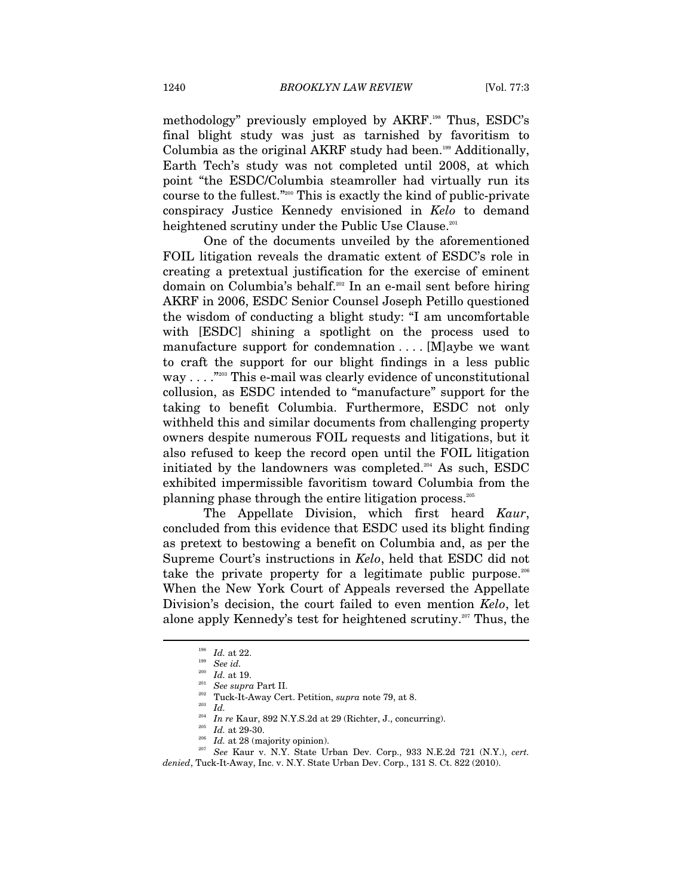methodology" previously employed by AKRF.198 Thus, ESDC's final blight study was just as tarnished by favoritism to Columbia as the original AKRF study had been.<sup>199</sup> Additionally, Earth Tech's study was not completed until 2008, at which point "the ESDC/Columbia steamroller had virtually run its course to the fullest."200 This is exactly the kind of public-private conspiracy Justice Kennedy envisioned in *Kelo* to demand heightened scrutiny under the Public Use Clause.<sup>201</sup>

One of the documents unveiled by the aforementioned FOIL litigation reveals the dramatic extent of ESDC's role in creating a pretextual justification for the exercise of eminent domain on Columbia's behalf.202 In an e-mail sent before hiring AKRF in 2006, ESDC Senior Counsel Joseph Petillo questioned the wisdom of conducting a blight study: "I am uncomfortable with [ESDC] shining a spotlight on the process used to manufacture support for condemnation . . . . [M]aybe we want to craft the support for our blight findings in a less public way . . . . . <sup>2203</sup> This e-mail was clearly evidence of unconstitutional collusion, as ESDC intended to "manufacture" support for the taking to benefit Columbia. Furthermore, ESDC not only withheld this and similar documents from challenging property owners despite numerous FOIL requests and litigations, but it also refused to keep the record open until the FOIL litigation initiated by the landowners was completed. $204$  As such, ESDC exhibited impermissible favoritism toward Columbia from the planning phase through the entire litigation process.205

The Appellate Division, which first heard *Kaur*, concluded from this evidence that ESDC used its blight finding as pretext to bestowing a benefit on Columbia and, as per the Supreme Court's instructions in *Kelo*, held that ESDC did not take the private property for a legitimate public purpose.<sup>206</sup> When the New York Court of Appeals reversed the Appellate Division's decision, the court failed to even mention *Kelo*, let alone apply Kennedy's test for heightened scrutiny.<sup>207</sup> Thus, the

<sup>&</sup>lt;sup>198</sup> *Id.* at 22.<br><sup>199</sup> *See id.*<br><sup>200</sup> *Id.* at 19.

<sup>&</sup>lt;sup>201</sup> See supra Part II.<br><sup>202</sup> Tuck-It-Away Cert. Petition, *supra* note 79, at 8.

 $\int_{204}^{203}$  *Id.* 

<sup>&</sup>lt;sup>204</sup> In re Kaur, 892 N.Y.S.2d at 29 (Richter, J., concurring).<br><sup>205</sup> Id. at 29-30.<br><sup>206</sup> Id. at 28 (majority opinion). 207 *See* Kaur v. N.Y. State Urban Dev. Corp., 933 N.E.2d 721 (N.Y.), *cert.* 

*denied*, Tuck-It-Away, Inc. v. N.Y. State Urban Dev. Corp., 131 S. Ct. 822 (2010).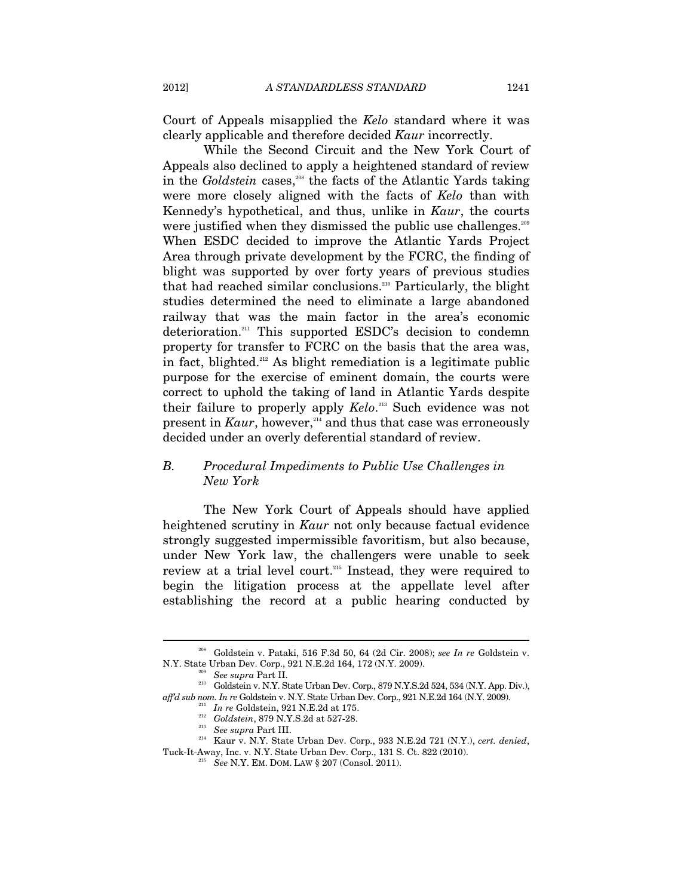Court of Appeals misapplied the *Kelo* standard where it was clearly applicable and therefore decided *Kaur* incorrectly.

While the Second Circuit and the New York Court of Appeals also declined to apply a heightened standard of review in the *Goldstein* cases,<sup>208</sup> the facts of the Atlantic Yards taking were more closely aligned with the facts of *Kelo* than with Kennedy's hypothetical, and thus, unlike in *Kaur*, the courts were justified when they dismissed the public use challenges.<sup>209</sup> When ESDC decided to improve the Atlantic Yards Project Area through private development by the FCRC, the finding of blight was supported by over forty years of previous studies that had reached similar conclusions.210 Particularly, the blight studies determined the need to eliminate a large abandoned railway that was the main factor in the area's economic deterioration.211 This supported ESDC's decision to condemn property for transfer to FCRC on the basis that the area was, in fact, blighted.<sup>212</sup> As blight remediation is a legitimate public purpose for the exercise of eminent domain, the courts were correct to uphold the taking of land in Atlantic Yards despite their failure to properly apply *Kelo*. 213 Such evidence was not present in *Kaur*, however,<sup>214</sup> and thus that case was erroneously decided under an overly deferential standard of review.

## *B. Procedural Impediments to Public Use Challenges in New York*

The New York Court of Appeals should have applied heightened scrutiny in *Kaur* not only because factual evidence strongly suggested impermissible favoritism, but also because, under New York law, the challengers were unable to seek review at a trial level court.<sup>215</sup> Instead, they were required to begin the litigation process at the appellate level after establishing the record at a public hearing conducted by

<sup>208</sup> Goldstein v. Pataki, 516 F.3d 50, 64 (2d Cir. 2008); *see In re* Goldstein v.

N.Y. State Urban Dev. Corp., 921 N.E.2d 164, 172 (N.Y. 2009).<br><sup>209</sup> See supra Part II.<br><sup>210</sup> Goldstein v. N.Y. State Urban Dev. Corp., 879 N.Y.S.2d 524, 534 (N.Y. App. Div.),<br>*affd sub nom. In re* Goldstein v. N.Y. State U

 $\footnotesize{^{211}}$  In re Goldstein, 921 N.E.2d at 175.<br> $\footnotesize{^{212}}$  Goldstein, 879 N.Y.S.2d at 527-28.<br> $\footnotesize{^{213}}$  See supra Part III. Kaur v. N.Y. State Urban Dev. Corp., 933 N.E.2d 721 (N.Y.), cert. denied, Tuck-It-Away, Inc. v. N.Y. State Urban Dev. Corp., 131 S. Ct. 822 (2010). 215 *See* N.Y. EM. DOM. LAW § 207 (Consol. 2011).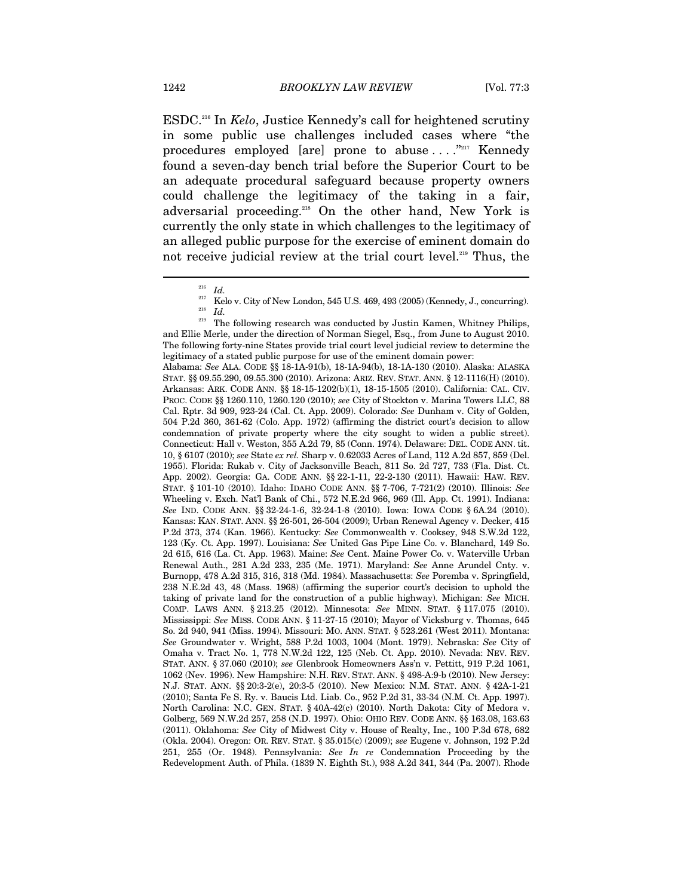ESDC.216 In *Kelo*, Justice Kennedy's call for heightened scrutiny in some public use challenges included cases where "the procedures employed [are] prone to abuse  $\dots$ ."<sup>217</sup> Kennedy found a seven-day bench trial before the Superior Court to be an adequate procedural safeguard because property owners could challenge the legitimacy of the taking in a fair, adversarial proceeding.<sup>218</sup> On the other hand, New York is currently the only state in which challenges to the legitimacy of an alleged public purpose for the exercise of eminent domain do not receive judicial review at the trial court level.<sup>219</sup> Thus, the

Alabama: *See* ALA. CODE §§ 18-1A-91(b), 18-1A-94(b), 18-1A-130 (2010). Alaska: ALASKA STAT. §§ 09.55.290, 09.55.300 (2010). Arizona: ARIZ. REV. STAT. ANN. § 12-1116(H) (2010). Arkansas: ARK. CODE ANN. §§ 18-15-1202(b)(1), 18-15-1505 (2010). California: CAL. CIV. PROC. CODE §§ 1260.110, 1260.120 (2010); *see* City of Stockton v. Marina Towers LLC, 88 Cal. Rptr. 3d 909, 923-24 (Cal. Ct. App. 2009). Colorado: *See* Dunham v. City of Golden, 504 P.2d 360, 361-62 (Colo. App. 1972) (affirming the district court's decision to allow condemnation of private property where the city sought to widen a public street). Connecticut: Hall v. Weston, 355 A.2d 79, 85 (Conn. 1974). Delaware: DEL. CODE ANN. tit. 10, § 6107 (2010); *see* State *ex rel.* Sharp v. 0.62033 Acres of Land, 112 A.2d 857, 859 (Del. 1955). Florida: Rukab v. City of Jacksonville Beach, 811 So. 2d 727, 733 (Fla. Dist. Ct. App. 2002). Georgia: GA. CODE ANN. §§ 22-1-11, 22-2-130 (2011). Hawaii: HAW. REV. STAT. § 101-10 (2010). Idaho: IDAHO CODE ANN. §§ 7-706, 7-721(2) (2010). Illinois: *See*  Wheeling v. Exch. Nat'l Bank of Chi., 572 N.E.2d 966, 969 (Ill. App. Ct. 1991). Indiana: *See* IND. CODE ANN. §§ 32-24-1-6, 32-24-1-8 (2010). Iowa: IOWA CODE § 6A.24 (2010). Kansas: KAN. STAT. ANN. §§ 26-501, 26-504 (2009); Urban Renewal Agency v. Decker, 415 P.2d 373, 374 (Kan. 1966). Kentucky: *See* Commonwealth v. Cooksey, 948 S.W.2d 122, 123 (Ky. Ct. App. 1997). Louisiana: *See* United Gas Pipe Line Co. v. Blanchard, 149 So. 2d 615, 616 (La. Ct. App. 1963). Maine: *See* Cent. Maine Power Co. v. Waterville Urban Renewal Auth., 281 A.2d 233, 235 (Me. 1971). Maryland: *See* Anne Arundel Cnty. v. Burnopp, 478 A.2d 315, 316, 318 (Md. 1984). Massachusetts: *See* Poremba v. Springfield, 238 N.E.2d 43, 48 (Mass. 1968) (affirming the superior court's decision to uphold the taking of private land for the construction of a public highway). Michigan: *See* MICH. COMP. LAWS ANN. § 213.25 (2012). Minnesota: *See* MINN. STAT. § 117.075 (2010). Mississippi: *See* MISS. CODE ANN. § 11-27-15 (2010); Mayor of Vicksburg v. Thomas, 645 So. 2d 940, 941 (Miss. 1994). Missouri: MO. ANN. STAT. § 523.261 (West 2011). Montana: *See* Groundwater v. Wright, 588 P.2d 1003, 1004 (Mont. 1979). Nebraska: *See* City of Omaha v. Tract No. 1, 778 N.W.2d 122, 125 (Neb. Ct. App. 2010). Nevada: NEV. REV. STAT. ANN. § 37.060 (2010); *see* Glenbrook Homeowners Ass'n v. Pettitt, 919 P.2d 1061, 1062 (Nev. 1996). New Hampshire: N.H. REV. STAT. ANN. § 498-A:9-b (2010). New Jersey: N.J. STAT. ANN. §§ 20:3-2(e), 20:3-5 (2010). New Mexico: N.M. STAT. ANN. § 42A-1-21 (2010); Santa Fe S. Ry. v. Baucis Ltd. Liab. Co., 952 P.2d 31, 33-34 (N.M. Ct. App. 1997). North Carolina: N.C. GEN. STAT. § 40A-42(c) (2010). North Dakota: City of Medora v. Golberg, 569 N.W.2d 257, 258 (N.D. 1997). Ohio: OHIO REV. CODE ANN. §§ 163.08, 163.63 (2011). Oklahoma: *See* City of Midwest City v. House of Realty, Inc., 100 P.3d 678, 682 (Okla. 2004). Oregon: OR. REV. STAT. § 35.015(c) (2009); *see* Eugene v. Johnson, 192 P.2d 251, 255 (Or. 1948). Pennsylvania: *See In re* Condemnation Proceeding by the Redevelopment Auth. of Phila. (1839 N. Eighth St.), 938 A.2d 341, 344 (Pa. 2007). Rhode

 $\frac{216}{217}$  *Id.* 

<sup>&</sup>lt;sup>217</sup> Kelo v. City of New London, 545 U.S. 469, 493 (2005) (Kennedy, J., concurring).<br><sup>218</sup> Id.

The following research was conducted by Justin Kamen, Whitney Philips, and Ellie Merle, under the direction of Norman Siegel, Esq., from June to August 2010. The following forty-nine States provide trial court level judicial review to determine the legitimacy of a stated public purpose for use of the eminent domain power: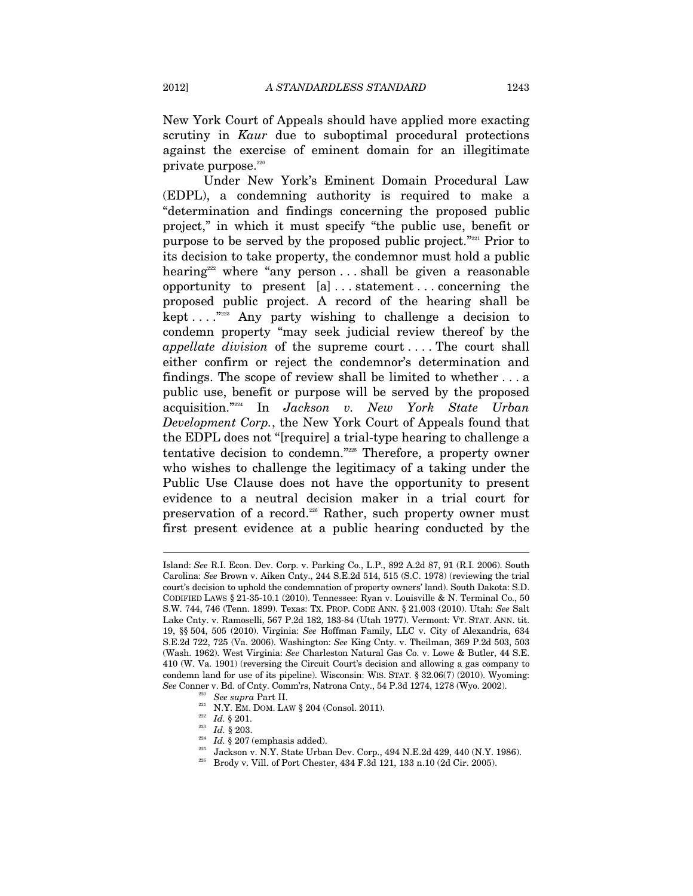New York Court of Appeals should have applied more exacting scrutiny in *Kaur* due to suboptimal procedural protections against the exercise of eminent domain for an illegitimate private purpose. $220$ 

Under New York's Eminent Domain Procedural Law (EDPL), a condemning authority is required to make a "determination and findings concerning the proposed public project," in which it must specify "the public use, benefit or purpose to be served by the proposed public project."221 Prior to its decision to take property, the condemnor must hold a public hearing<sup>222</sup> where "any person ... shall be given a reasonable opportunity to present [a] . . . statement . . . concerning the proposed public project. A record of the hearing shall be kept  $\dots$ ."<sup>223</sup> Any party wishing to challenge a decision to condemn property "may seek judicial review thereof by the *appellate division* of the supreme court . . . . The court shall either confirm or reject the condemnor's determination and findings. The scope of review shall be limited to whether . . . a public use, benefit or purpose will be served by the proposed acquisition."224 In *Jackson v. New York State Urban Development Corp.*, the New York Court of Appeals found that the EDPL does not "[require] a trial-type hearing to challenge a tentative decision to condemn."225 Therefore, a property owner who wishes to challenge the legitimacy of a taking under the Public Use Clause does not have the opportunity to present evidence to a neutral decision maker in a trial court for preservation of a record.<sup>226</sup> Rather, such property owner must first present evidence at a public hearing conducted by the

- 
- 

Island: *See* R.I. Econ. Dev. Corp. v. Parking Co., L.P., 892 A.2d 87, 91 (R.I. 2006). South Carolina: *See* Brown v. Aiken Cnty., 244 S.E.2d 514, 515 (S.C. 1978) (reviewing the trial court's decision to uphold the condemnation of property owners' land). South Dakota: S.D. CODIFIED LAWS § 21-35-10.1 (2010). Tennessee: Ryan v. Louisville & N. Terminal Co., 50 S.W. 744, 746 (Tenn. 1899). Texas: TX. PROP. CODE ANN. § 21.003 (2010). Utah: *See* Salt Lake Cnty. v. Ramoselli, 567 P.2d 182, 183-84 (Utah 1977). Vermont: VT. STAT. ANN. tit. 19, §§ 504, 505 (2010). Virginia: *See* Hoffman Family, LLC v. City of Alexandria, 634 S.E.2d 722, 725 (Va. 2006). Washington: *See* King Cnty. v. Theilman, 369 P.2d 503, 503 (Wash. 1962). West Virginia: *See* Charleston Natural Gas Co. v. Lowe & Butler, 44 S.E. 410 (W. Va. 1901) (reversing the Circuit Court's decision and allowing a gas company to condemn land for use of its pipeline). Wisconsin: WIS. STAT. § 32.06(7) (2010). Wyoming:  $\begin{array}{lll} \textit{See } \text{Compare v. Bd. of} \textit{Chty. Comm} \textit{rs, Natrona} \textit{Chty., 54 P.3d 1274, 1278 (Wyo. 2002).} \\ \textit{See } \textit{supra} \textit{Part II.} \\ \textit{221} & \text{N.Y. EM. DOM. Law § 204 (Consol. 2011).} \\ \textit{222} & \textit{Id. § 201.} \\ \textit{233} & \textit{Id. § 203.} \\ \textit{244 } & \text{S. } 207 \text{ (emphasis added).} \\ \textit{$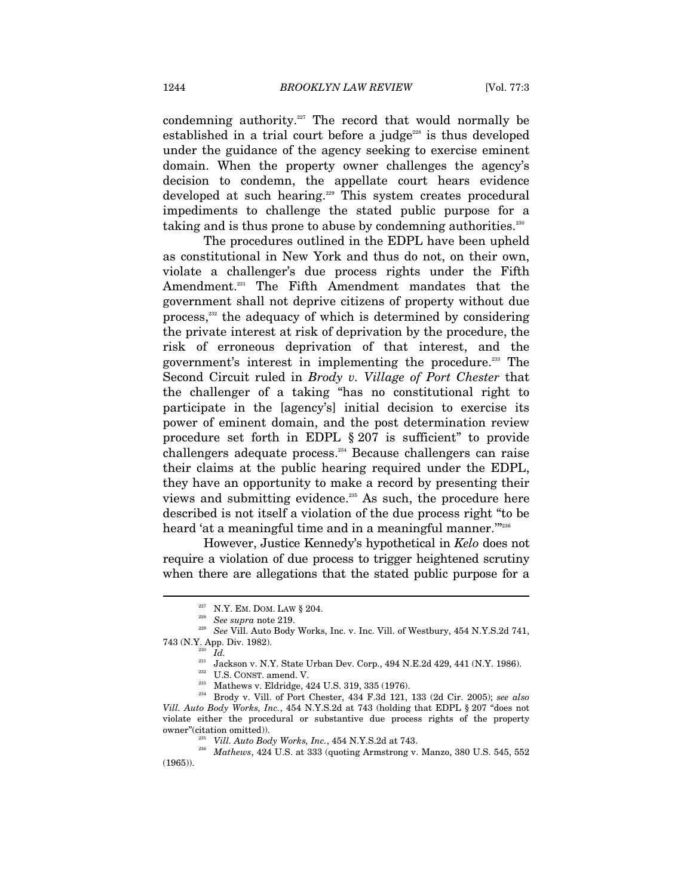condemning authority.<sup>227</sup> The record that would normally be established in a trial court before a judge<sup> $228$ </sup> is thus developed under the guidance of the agency seeking to exercise eminent domain. When the property owner challenges the agency's decision to condemn, the appellate court hears evidence developed at such hearing.229 This system creates procedural impediments to challenge the stated public purpose for a taking and is thus prone to abuse by condemning authorities.<sup>230</sup>

The procedures outlined in the EDPL have been upheld as constitutional in New York and thus do not, on their own, violate a challenger's due process rights under the Fifth Amendment.<sup>231</sup> The Fifth Amendment mandates that the government shall not deprive citizens of property without due process,<sup>232</sup> the adequacy of which is determined by considering the private interest at risk of deprivation by the procedure, the risk of erroneous deprivation of that interest, and the government's interest in implementing the procedure.<sup>233</sup> The Second Circuit ruled in *Brody v. Village of Port Chester* that the challenger of a taking "has no constitutional right to participate in the [agency's] initial decision to exercise its power of eminent domain, and the post determination review procedure set forth in EDPL § 207 is sufficient" to provide challengers adequate process.234 Because challengers can raise their claims at the public hearing required under the EDPL, they have an opportunity to make a record by presenting their views and submitting evidence.<sup>235</sup> As such, the procedure here described is not itself a violation of the due process right "to be heard 'at a meaningful time and in a meaningful manner."<sup>2236</sup>

However, Justice Kennedy's hypothetical in *Kelo* does not require a violation of due process to trigger heightened scrutiny when there are allegations that the stated public purpose for a

<sup>&</sup>lt;sup>227</sup> N.Y. EM. DOM. LAW § 204.<br><sup>228</sup> See supra note 219.<br><sup>229</sup> See Vill. Auto Body Works, Inc. v. Inc. Vill. of Westbury, 454 N.Y.S.2d 741,  $\begin{array}{lll} \text{743 (N.Y. App. Div. 1982).} & & & \\ \text{743 (N.Y. App. Div. 1986).} & & & \\ \text{744 (N.Y. 1986).} & & & \\ \text{755 (NST. amend. V.} & & & \\ \text{766 (N. V. 1986).} & & \\ \text{777 (N. V. 1986).} & & \\ \text{788 (N. V. 1986).} & & \\ \text{789 (N. V. 1986).} & & \\ \text{799 (N. V. 1986).} & & \\ \text{799 (N. V. 1986$ 

*Vill. Auto Body Works, Inc.*, 454 N.Y.S.2d at 743 (holding that EDPL § 207 "does not violate either the procedural or substantive due process rights of the property

owner"(citation omitted)). 235 *Vill. Auto Body Works, Inc.*, 454 N.Y.S.2d at 743. 236 *Mathews*, 424 U.S. at 333 (quoting Armstrong v. Manzo, 380 U.S. 545, 552 (1965)).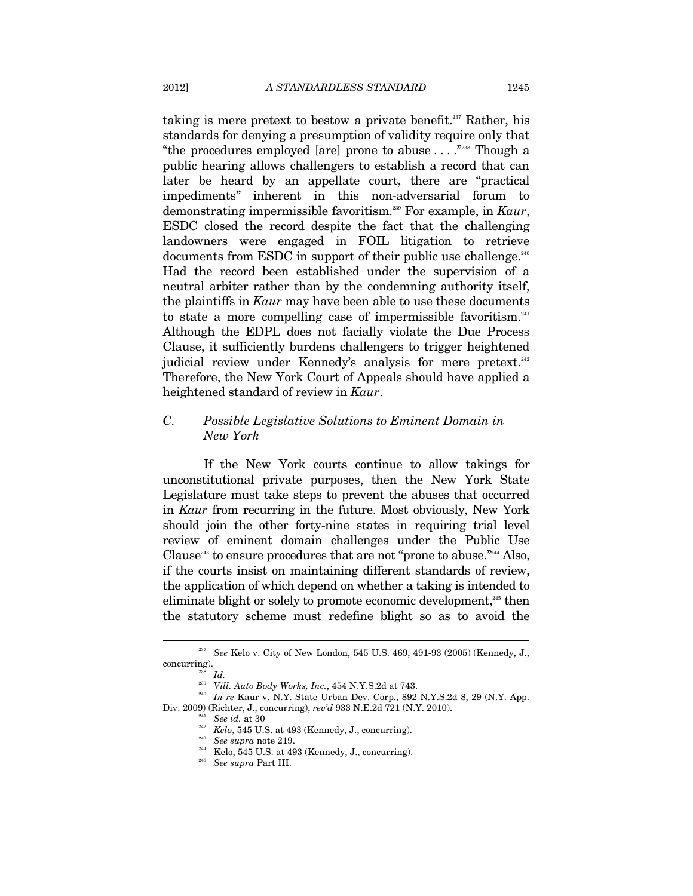taking is mere pretext to bestow a private benefit.<sup>237</sup> Rather, his standards for denying a presumption of validity require only that "the procedures employed [are] prone to abuse  $\dots$ ."<sup>238</sup> Though a public hearing allows challengers to establish a record that can later be heard by an appellate court, there are "practical impediments" inherent in this non-adversarial forum to demonstrating impermissible favoritism.239 For example, in *Kaur*, ESDC closed the record despite the fact that the challenging landowners were engaged in FOIL litigation to retrieve documents from ESDC in support of their public use challenge. $240$ Had the record been established under the supervision of a neutral arbiter rather than by the condemning authority itself, the plaintiffs in *Kaur* may have been able to use these documents to state a more compelling case of impermissible favoritism.<sup>241</sup> Although the EDPL does not facially violate the Due Process Clause, it sufficiently burdens challengers to trigger heightened judicial review under Kennedy's analysis for mere pretext.<sup>242</sup> Therefore, the New York Court of Appeals should have applied a heightened standard of review in *Kaur*.

# *C. Possible Legislative Solutions to Eminent Domain in New York*

If the New York courts continue to allow takings for unconstitutional private purposes, then the New York State Legislature must take steps to prevent the abuses that occurred in *Kaur* from recurring in the future. Most obviously, New York should join the other forty-nine states in requiring trial level review of eminent domain challenges under the Public Use Clause<sup>243</sup> to ensure procedures that are not "prone to abuse."<sup>244</sup> Also, if the courts insist on maintaining different standards of review, the application of which depend on whether a taking is intended to eliminate blight or solely to promote economic development,<sup>245</sup> then the statutory scheme must redefine blight so as to avoid the

<sup>237</sup> *See* Kelo v. City of New London, 545 U.S. 469, 491-93 (2005) (Kennedy, J., concurring). 238 *Id.*

<sup>&</sup>lt;sup>240</sup> In re Kaur v. N.Y. State Urban Dev. Corp., 892 N.Y.S.2d 8, 29 (N.Y. App. Div. 2009) (Richter, J., concurring), rev'd 933 N.E.2d 721 (N.Y. 2010).

<sup>&</sup>lt;sup>241</sup> See id. at 30<br><sup>242</sup> Kelo, 545 U.S. at 493 (Kennedy, J., concurring).<br><sup>243</sup> See supra note 219.<br><sup>244</sup> Kelo, 545 U.S. at 493 (Kennedy, J., concurring).<br><sup>245</sup> See supra Part III.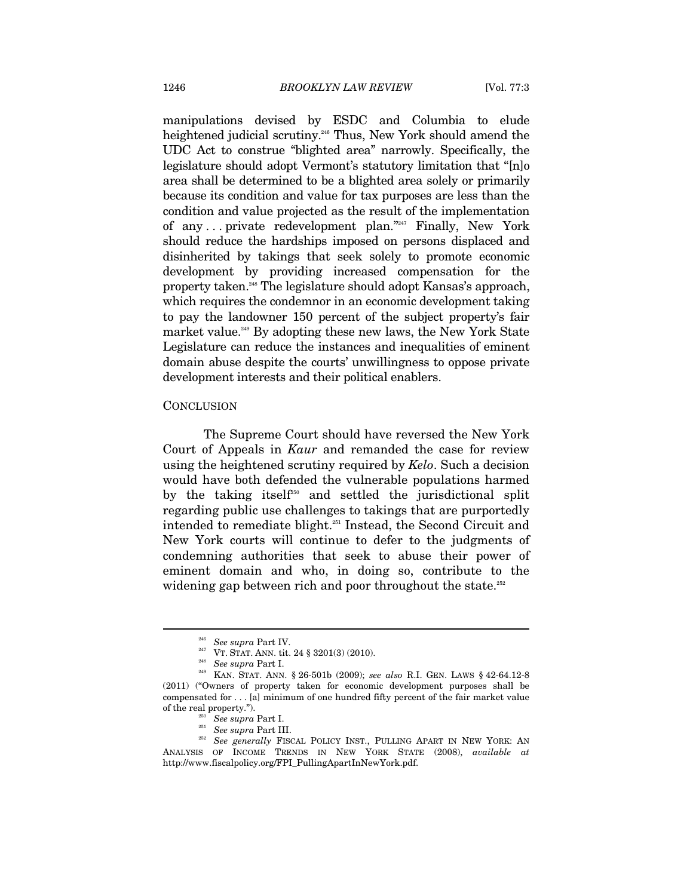manipulations devised by ESDC and Columbia to elude heightened judicial scrutiny.<sup>246</sup> Thus, New York should amend the UDC Act to construe "blighted area" narrowly. Specifically, the legislature should adopt Vermont's statutory limitation that "[n]o area shall be determined to be a blighted area solely or primarily because its condition and value for tax purposes are less than the condition and value projected as the result of the implementation of any ... private redevelopment plan."<sup>247</sup> Finally, New York should reduce the hardships imposed on persons displaced and disinherited by takings that seek solely to promote economic development by providing increased compensation for the property taken.<sup>248</sup> The legislature should adopt Kansas's approach, which requires the condemnor in an economic development taking to pay the landowner 150 percent of the subject property's fair market value.<sup>249</sup> By adopting these new laws, the New York State Legislature can reduce the instances and inequalities of eminent domain abuse despite the courts' unwillingness to oppose private development interests and their political enablers.

#### **CONCLUSION**

 $\overline{a}$ 

The Supreme Court should have reversed the New York Court of Appeals in *Kaur* and remanded the case for review using the heightened scrutiny required by *Kelo*. Such a decision would have both defended the vulnerable populations harmed by the taking itself<sup>250</sup> and settled the jurisdictional split regarding public use challenges to takings that are purportedly intended to remediate blight. $251$  Instead, the Second Circuit and New York courts will continue to defer to the judgments of condemning authorities that seek to abuse their power of eminent domain and who, in doing so, contribute to the widening gap between rich and poor throughout the state.<sup>252</sup>

<sup>246</sup> *See supra* Part IV. 247 VT. STAT. ANN. tit. 24 § 3201(3) (2010). 248 *See supra* Part I. 249 KAN. STAT. ANN. § 26-501b (2009); *see also* R.I. GEN. LAWS § 42-64.12-8 (2011) ("Owners of property taken for economic development purposes shall be compensated for . . . [a] minimum of one hundred fifty percent of the fair market value of the real property.").<br><sup>250</sup> See supra Part I.<br><sup>251</sup> See supra Part III. 252 *See generally* FISCAL POLICY INST., PULLING APART IN NEW YORK: AN

ANALYSIS OF INCOME TRENDS IN NEW YORK STATE (2008), *available at* http://www.fiscalpolicy.org/FPI\_PullingApartInNewYork.pdf.